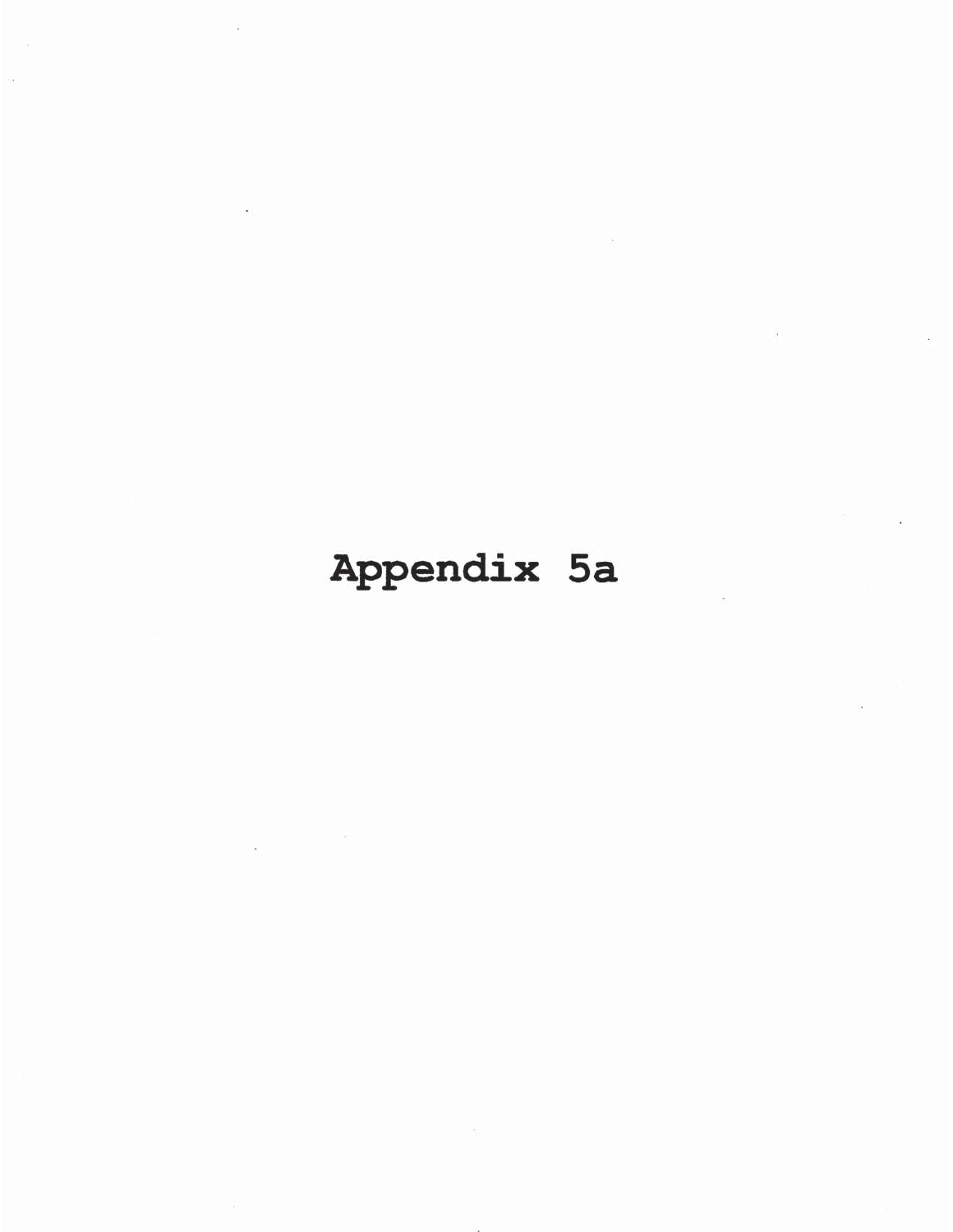# Appendix 5a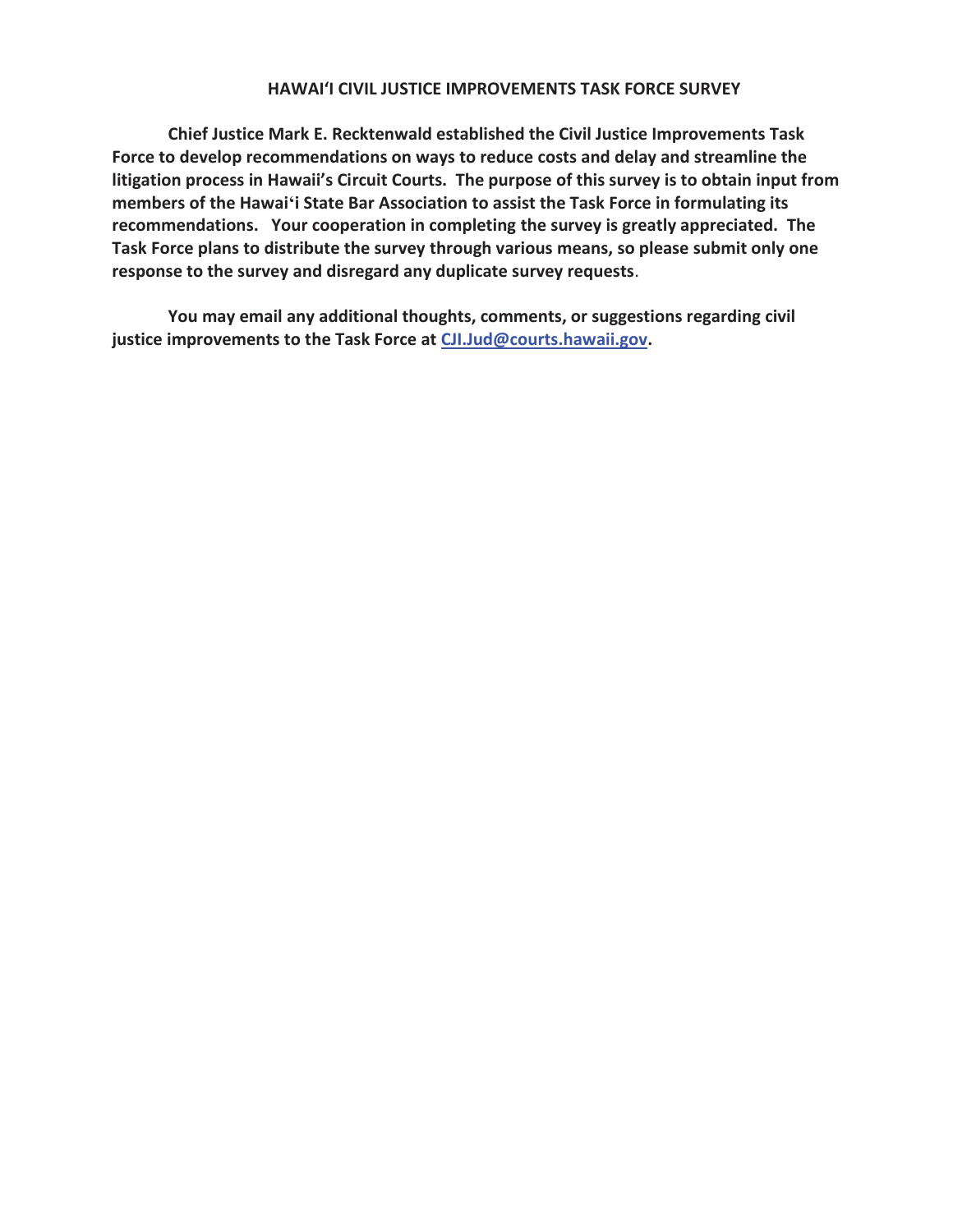#### **HAWAIʻI CIVIL JUSTICE IMPROVEMENTS TASK FORCE SURVEY**

**Chief Justice Mark E. Recktenwald established the Civil Justice Improvements Task Force to develop recommendations on ways to reduce costs and delay and streamline the litigation process in Hawaii's Circuit Courts. The purpose of this survey is to obtain input from members of the Hawaiʻi State Bar Association to assist the Task Force in formulating its recommendations. Your cooperation in completing the survey is greatly appreciated. The Task Force plans to distribute the survey through various means, so please submit only one response to the survey and disregard any duplicate survey requests**.

**You may email any additional thoughts, comments, or suggestions regarding civil justice improvements to the Task Force at CJI.Jud@courts.hawaii.gov.**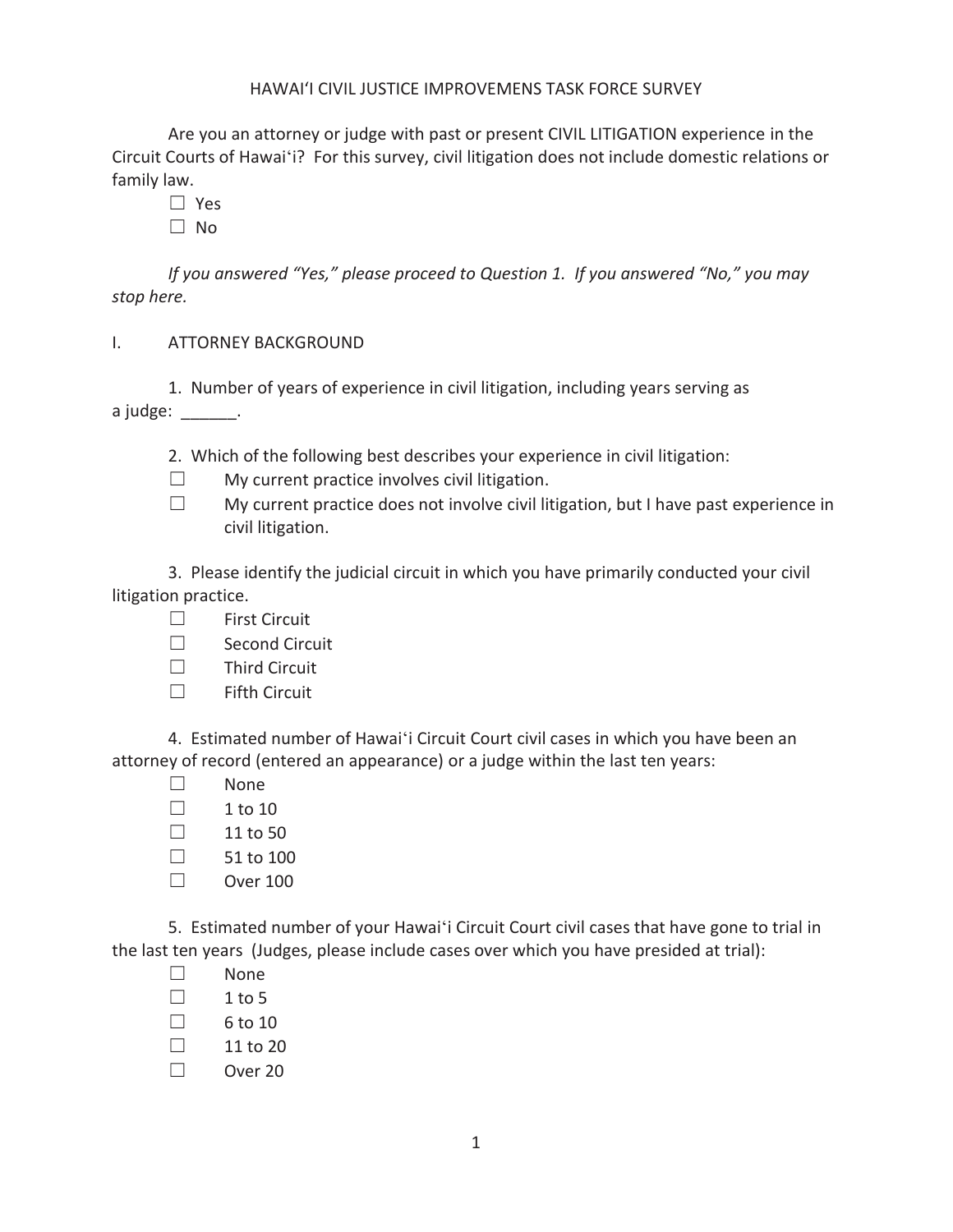### HAWAIʻI CIVIL JUSTICE IMPROVEMENS TASK FORCE SURVEY

 Are you an attorney or judge with past or present CIVIL LITIGATION experience in the Circuit Courts of Hawaiʻi? For this survey, civil litigation does not include domestic relations or family law.

 $\square$  Yes

 $\square$  No

*If you answered "Yes," please proceed to Question 1. If you answered "No," you may stop here.* 

I. ATTORNEY BACKGROUND

 1. Number of years of experience in civil litigation, including years serving as a judge: \_\_\_\_\_\_\_.

- 2. Which of the following best describes your experience in civil litigation:
- $\Box$  My current practice involves civil litigation.
- $\Box$  My current practice does not involve civil litigation, but I have past experience in civil litigation.

3. Please identify the judicial circuit in which you have primarily conducted your civil litigation practice.

- $\Box$  First Circuit
- □ Second Circuit
- $\Box$  Third Circuit
- $\Box$  Fifth Circuit

4. Estimated number of Hawaiʻi Circuit Court civil cases in which you have been an attorney of record (entered an appearance) or a judge within the last ten years:

- $\Box$  None
- $\Box$  1 to 10
- $\Box$  11 to 50
- $\Box$  51 to 100
- $\Box$  Over 100

5. Estimated number of your Hawaiʻi Circuit Court civil cases that have gone to trial in the last ten years (Judges, please include cases over which you have presided at trial):

- $\square$  None
- $\Box$  1 to 5
- $\Box$  6 to 10
- $\Box$  11 to 20
- $\Box$  Over 20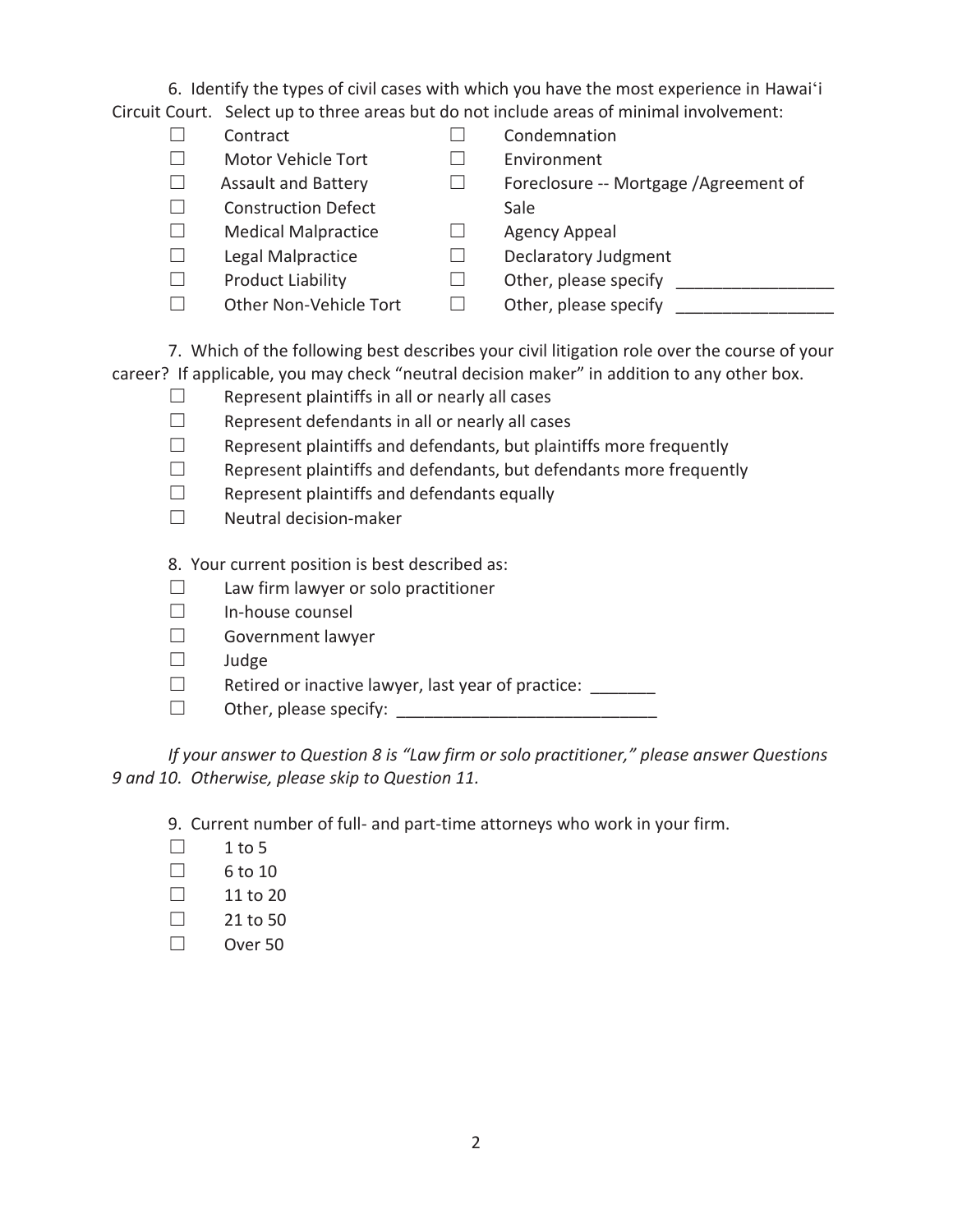6. Identify the types of civil cases with which you have the most experience in Hawaiʻi Circuit Court. Select up to three areas but do not include areas of minimal involvement:

- 
- ܆ Motor Vehicle Tort ܆ Environment
- 
- $\square$  Construction Defect Sale
- $\Box$  Medical Malpractice  $\Box$  Agency Appeal
- 
- 
- 
- $\Box$  Contract  $\Box$  Condemnation
	-
- $\Box$  Assault and Battery  $\Box$  Foreclosure -- Mortgage /Agreement of
	-
- $\Box$  Legal Malpractice  $\Box$  Declaratory Judgment
- $\Box$  Product Liability  $\Box$  Other, please specify  $\Box$
- $\Box$  Other Non-Vehicle Tort  $\Box$  Other, please specify  $\Box$
- 

 7. Which of the following best describes your civil litigation role over the course of your career? If applicable, you may check "neutral decision maker" in addition to any other box.

- $\square$  Represent plaintiffs in all or nearly all cases
- $\Box$  Represent defendants in all or nearly all cases
- $\Box$  Represent plaintiffs and defendants, but plaintiffs more frequently
- $\Box$  Represent plaintiffs and defendants, but defendants more frequently
- $\square$  Represent plaintiffs and defendants equally
- $\square$  Neutral decision-maker

8. Your current position is best described as:

- $\Box$  Law firm lawyer or solo practitioner
- $\square$  In-house counsel
- ܆ Government lawyer
- $\square$  Judge
- $\Box$  Retired or inactive lawyer, last year of practice:
- $\Box$  Other, please specify:

*If your answer to Question 8 is "Law firm or solo practitioner," please answer Questions 9 and 10. Otherwise, please skip to Question 11.* 

9. Current number of full- and part-time attorneys who work in your firm.

- $\Box$  1 to 5
- $\Box$  6 to 10
- $\Box$  11 to 20
- $\Box$  21 to 50
- $\Box$  Over 50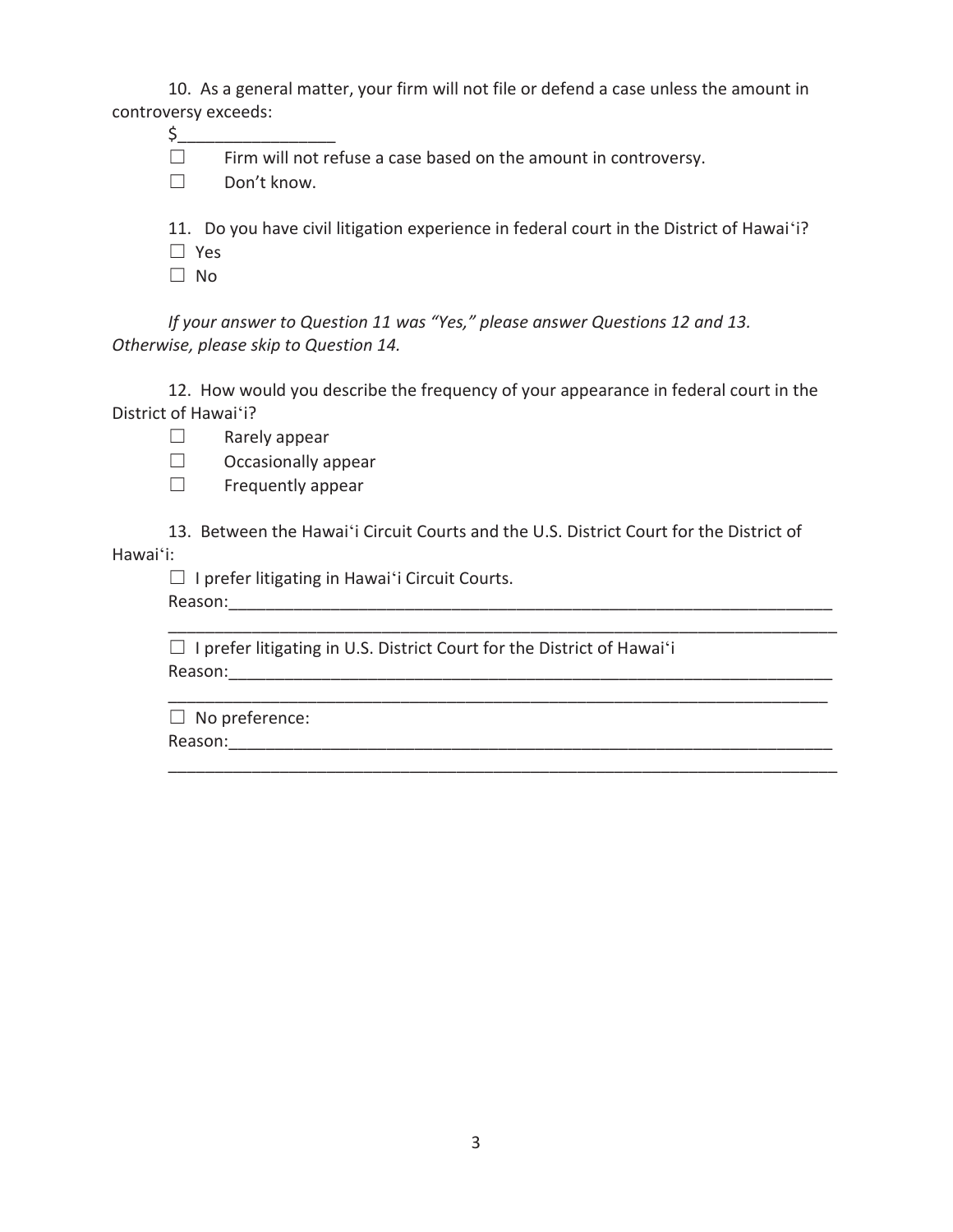10. As a general matter, your firm will not file or defend a case unless the amount in controversy exceeds:

 $\zeta_-$ 

 $\Box$  Firm will not refuse a case based on the amount in controversy.

□ Don't know.

11. Do you have civil litigation experience in federal court in the District of Hawaiʻi?

- $\square$  Yes
- $\Box$  No

*If your answer to Question 11 was "Yes," please answer Questions 12 and 13. Otherwise, please skip to Question 14.* 

 12. How would you describe the frequency of your appearance in federal court in the District of Hawaiʻi?

- $\Box$  Rarely appear
- $\Box$  Occasionally appear
- $\Box$  Frequently appear

13. Between the Hawaiʻi Circuit Courts and the U.S. District Court for the District of Hawaiʻi:

\_\_\_\_\_\_\_\_\_\_\_\_\_\_\_\_\_\_\_\_\_\_\_\_\_\_\_\_\_\_\_\_\_\_\_\_\_\_\_\_\_\_\_\_\_\_\_\_\_\_\_\_\_\_\_\_\_\_\_\_\_\_\_\_\_\_\_\_\_\_\_\_

\_\_\_\_\_\_\_\_\_\_\_\_\_\_\_\_\_\_\_\_\_\_\_\_\_\_\_\_\_\_\_\_\_\_\_\_\_\_\_\_\_\_\_\_\_\_\_\_\_\_\_\_\_\_\_\_\_\_\_\_\_\_\_\_\_\_\_\_\_\_\_\_

 $\Box$  I prefer litigating in Hawai'i Circuit Courts.

Reason:\_\_\_\_\_\_\_\_\_\_\_\_\_\_\_\_\_\_\_\_\_\_\_\_\_\_\_\_\_\_\_\_\_\_\_\_\_\_\_\_\_\_\_\_\_\_\_\_\_\_\_\_\_\_\_\_\_\_\_\_\_\_\_\_\_

 $\Box$  I prefer litigating in U.S. District Court for the District of Hawaiʻi Reason:\_\_\_\_\_\_\_\_\_\_\_\_\_\_\_\_\_\_\_\_\_\_\_\_\_\_\_\_\_\_\_\_\_\_\_\_\_\_\_\_\_\_\_\_\_\_\_\_\_\_\_\_\_\_\_\_\_\_\_\_\_\_\_\_\_

\_\_\_\_\_\_\_\_\_\_\_\_\_\_\_\_\_\_\_\_\_\_\_\_\_\_\_\_\_\_\_\_\_\_\_\_\_\_\_\_\_\_\_\_\_\_\_\_\_\_\_\_\_\_\_\_\_\_\_\_\_\_\_\_\_\_\_\_\_\_\_  $\Box$  No preference: Reason:\_\_\_\_\_\_\_\_\_\_\_\_\_\_\_\_\_\_\_\_\_\_\_\_\_\_\_\_\_\_\_\_\_\_\_\_\_\_\_\_\_\_\_\_\_\_\_\_\_\_\_\_\_\_\_\_\_\_\_\_\_\_\_\_\_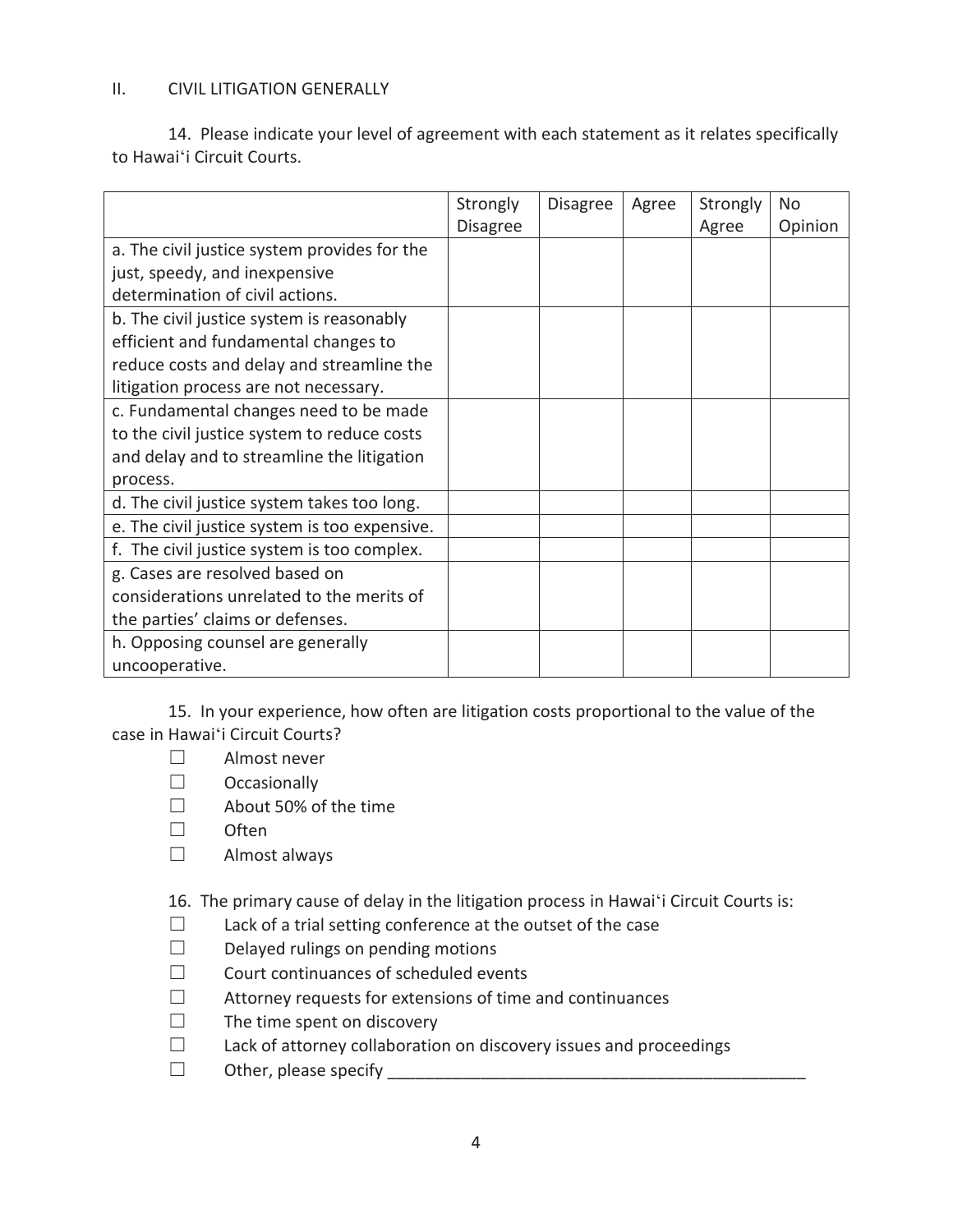## II. CIVIL LITIGATION GENERALLY

 14. Please indicate your level of agreement with each statement as it relates specifically to Hawaiʻi Circuit Courts.

|                                               | Strongly<br><b>Disagree</b> | <b>Disagree</b> | Agree | Strongly<br>Agree | N <sub>0</sub><br>Opinion |
|-----------------------------------------------|-----------------------------|-----------------|-------|-------------------|---------------------------|
| a. The civil justice system provides for the  |                             |                 |       |                   |                           |
| just, speedy, and inexpensive                 |                             |                 |       |                   |                           |
| determination of civil actions.               |                             |                 |       |                   |                           |
| b. The civil justice system is reasonably     |                             |                 |       |                   |                           |
| efficient and fundamental changes to          |                             |                 |       |                   |                           |
| reduce costs and delay and streamline the     |                             |                 |       |                   |                           |
| litigation process are not necessary.         |                             |                 |       |                   |                           |
| c. Fundamental changes need to be made        |                             |                 |       |                   |                           |
| to the civil justice system to reduce costs   |                             |                 |       |                   |                           |
| and delay and to streamline the litigation    |                             |                 |       |                   |                           |
| process.                                      |                             |                 |       |                   |                           |
| d. The civil justice system takes too long.   |                             |                 |       |                   |                           |
| e. The civil justice system is too expensive. |                             |                 |       |                   |                           |
| f. The civil justice system is too complex.   |                             |                 |       |                   |                           |
| g. Cases are resolved based on                |                             |                 |       |                   |                           |
| considerations unrelated to the merits of     |                             |                 |       |                   |                           |
| the parties' claims or defenses.              |                             |                 |       |                   |                           |
| h. Opposing counsel are generally             |                             |                 |       |                   |                           |
| uncooperative.                                |                             |                 |       |                   |                           |

15. In your experience, how often are litigation costs proportional to the value of the case in Hawaiʻi Circuit Courts?

- $\Box$  Almost never
- $\Box$  Occasionally
- □ About 50% of the time
- $\square$  Often
- $\Box$  Almost always

16. The primary cause of delay in the litigation process in Hawaiʻi Circuit Courts is:

- $\Box$  Lack of a trial setting conference at the outset of the case
- $\square$  Delayed rulings on pending motions
- $\Box$  Court continuances of scheduled events
- $\Box$  Attorney requests for extensions of time and continuances
- $\Box$  The time spent on discovery
- $\Box$  Lack of attorney collaboration on discovery issues and proceedings
- ܆ Other, please specify \_\_\_\_\_\_\_\_\_\_\_\_\_\_\_\_\_\_\_\_\_\_\_\_\_\_\_\_\_\_\_\_\_\_\_\_\_\_\_\_\_\_\_\_\_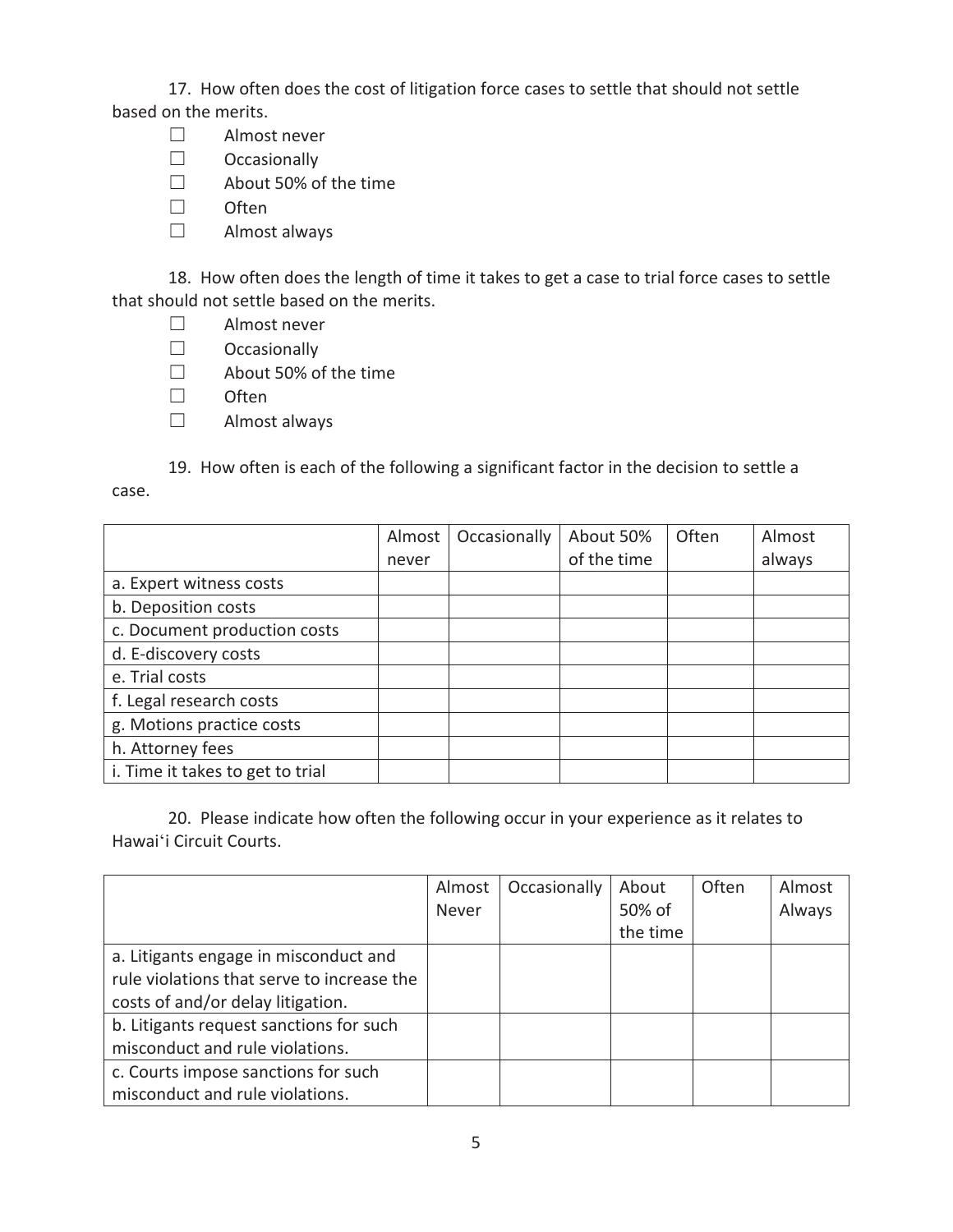17. How often does the cost of litigation force cases to settle that should not settle based on the merits.

- ܆ Almost never
- $\Box$  Occasionally
- □ About 50% of the time
- $\Box$  Often
- $\Box$  Almost always

18. How often does the length of time it takes to get a case to trial force cases to settle that should not settle based on the merits.

- ܆ Almost never
- $\Box$  Occasionally
- □ About 50% of the time
- $\square$  Often
- $\Box$  Almost always

19. How often is each of the following a significant factor in the decision to settle a

case.

|                                  | Almost | Occasionally | About 50%   | Often | Almost |
|----------------------------------|--------|--------------|-------------|-------|--------|
|                                  | never  |              | of the time |       | always |
| a. Expert witness costs          |        |              |             |       |        |
| b. Deposition costs              |        |              |             |       |        |
| c. Document production costs     |        |              |             |       |        |
| d. E-discovery costs             |        |              |             |       |        |
| e. Trial costs                   |        |              |             |       |        |
| f. Legal research costs          |        |              |             |       |        |
| g. Motions practice costs        |        |              |             |       |        |
| h. Attorney fees                 |        |              |             |       |        |
| i. Time it takes to get to trial |        |              |             |       |        |

 20. Please indicate how often the following occur in your experience as it relates to Hawaiʻi Circuit Courts.

|                                            | Almost | Occasionally | About    | Often | Almost |
|--------------------------------------------|--------|--------------|----------|-------|--------|
|                                            | Never  |              | 50% of   |       | Always |
|                                            |        |              | the time |       |        |
| a. Litigants engage in misconduct and      |        |              |          |       |        |
| rule violations that serve to increase the |        |              |          |       |        |
| costs of and/or delay litigation.          |        |              |          |       |        |
| b. Litigants request sanctions for such    |        |              |          |       |        |
| misconduct and rule violations.            |        |              |          |       |        |
| c. Courts impose sanctions for such        |        |              |          |       |        |
| misconduct and rule violations.            |        |              |          |       |        |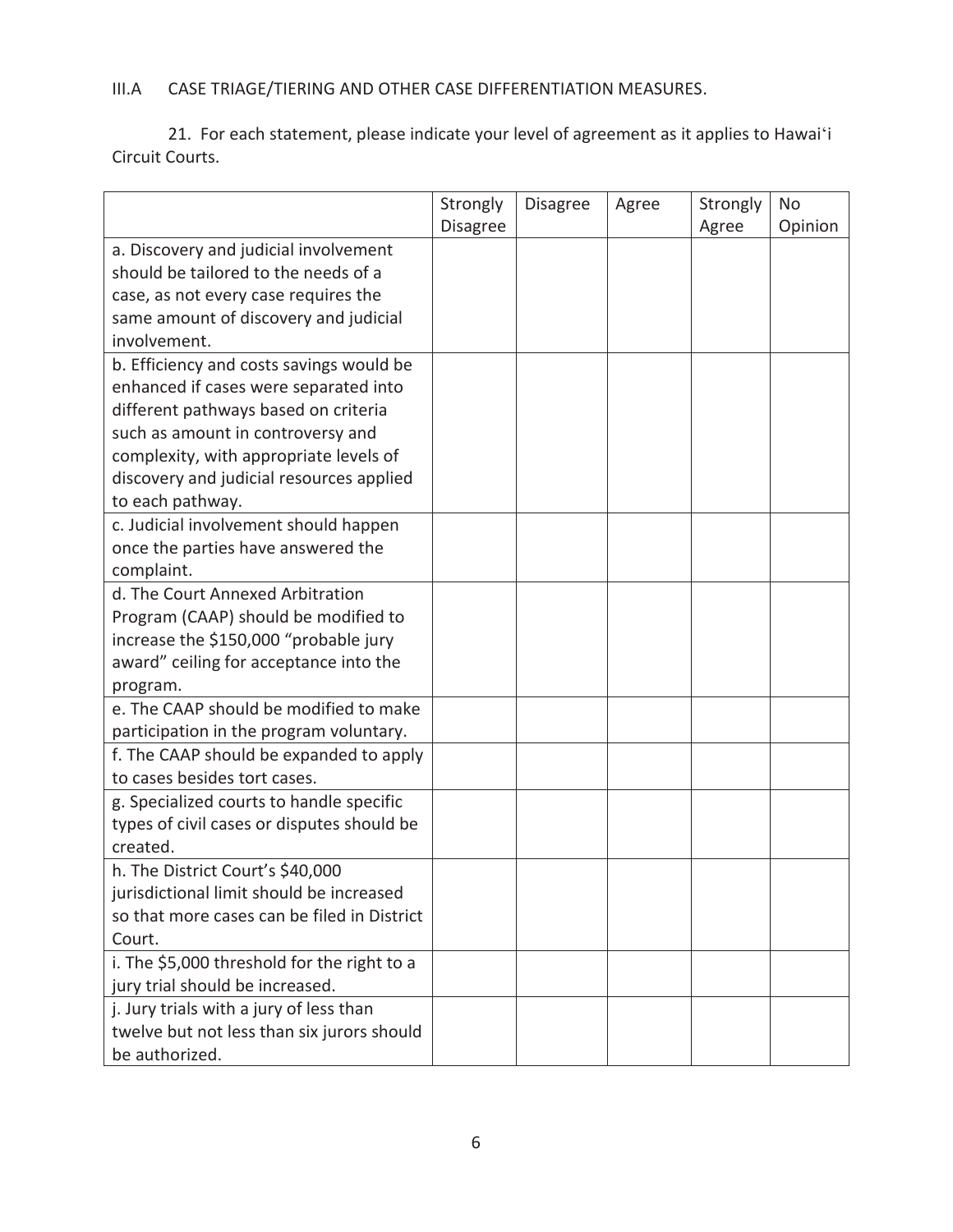# III.A CASE TRIAGE/TIERING AND OTHER CASE DIFFERENTIATION MEASURES.

21. For each statement, please indicate your level of agreement as it applies to Hawaiʻi Circuit Courts.

|                                             | Strongly        | <b>Disagree</b> | Agree | Strongly | No      |
|---------------------------------------------|-----------------|-----------------|-------|----------|---------|
|                                             | <b>Disagree</b> |                 |       | Agree    | Opinion |
| a. Discovery and judicial involvement       |                 |                 |       |          |         |
| should be tailored to the needs of a        |                 |                 |       |          |         |
| case, as not every case requires the        |                 |                 |       |          |         |
| same amount of discovery and judicial       |                 |                 |       |          |         |
| involvement.                                |                 |                 |       |          |         |
| b. Efficiency and costs savings would be    |                 |                 |       |          |         |
| enhanced if cases were separated into       |                 |                 |       |          |         |
| different pathways based on criteria        |                 |                 |       |          |         |
| such as amount in controversy and           |                 |                 |       |          |         |
| complexity, with appropriate levels of      |                 |                 |       |          |         |
| discovery and judicial resources applied    |                 |                 |       |          |         |
| to each pathway.                            |                 |                 |       |          |         |
| c. Judicial involvement should happen       |                 |                 |       |          |         |
| once the parties have answered the          |                 |                 |       |          |         |
| complaint.                                  |                 |                 |       |          |         |
| d. The Court Annexed Arbitration            |                 |                 |       |          |         |
| Program (CAAP) should be modified to        |                 |                 |       |          |         |
| increase the \$150,000 "probable jury       |                 |                 |       |          |         |
| award" ceiling for acceptance into the      |                 |                 |       |          |         |
| program.                                    |                 |                 |       |          |         |
| e. The CAAP should be modified to make      |                 |                 |       |          |         |
| participation in the program voluntary.     |                 |                 |       |          |         |
| f. The CAAP should be expanded to apply     |                 |                 |       |          |         |
| to cases besides tort cases.                |                 |                 |       |          |         |
| g. Specialized courts to handle specific    |                 |                 |       |          |         |
| types of civil cases or disputes should be  |                 |                 |       |          |         |
| created.                                    |                 |                 |       |          |         |
| h. The District Court's \$40,000            |                 |                 |       |          |         |
| jurisdictional limit should be increased    |                 |                 |       |          |         |
| so that more cases can be filed in District |                 |                 |       |          |         |
| Court.                                      |                 |                 |       |          |         |
| i. The \$5,000 threshold for the right to a |                 |                 |       |          |         |
| jury trial should be increased.             |                 |                 |       |          |         |
| j. Jury trials with a jury of less than     |                 |                 |       |          |         |
| twelve but not less than six jurors should  |                 |                 |       |          |         |
| be authorized.                              |                 |                 |       |          |         |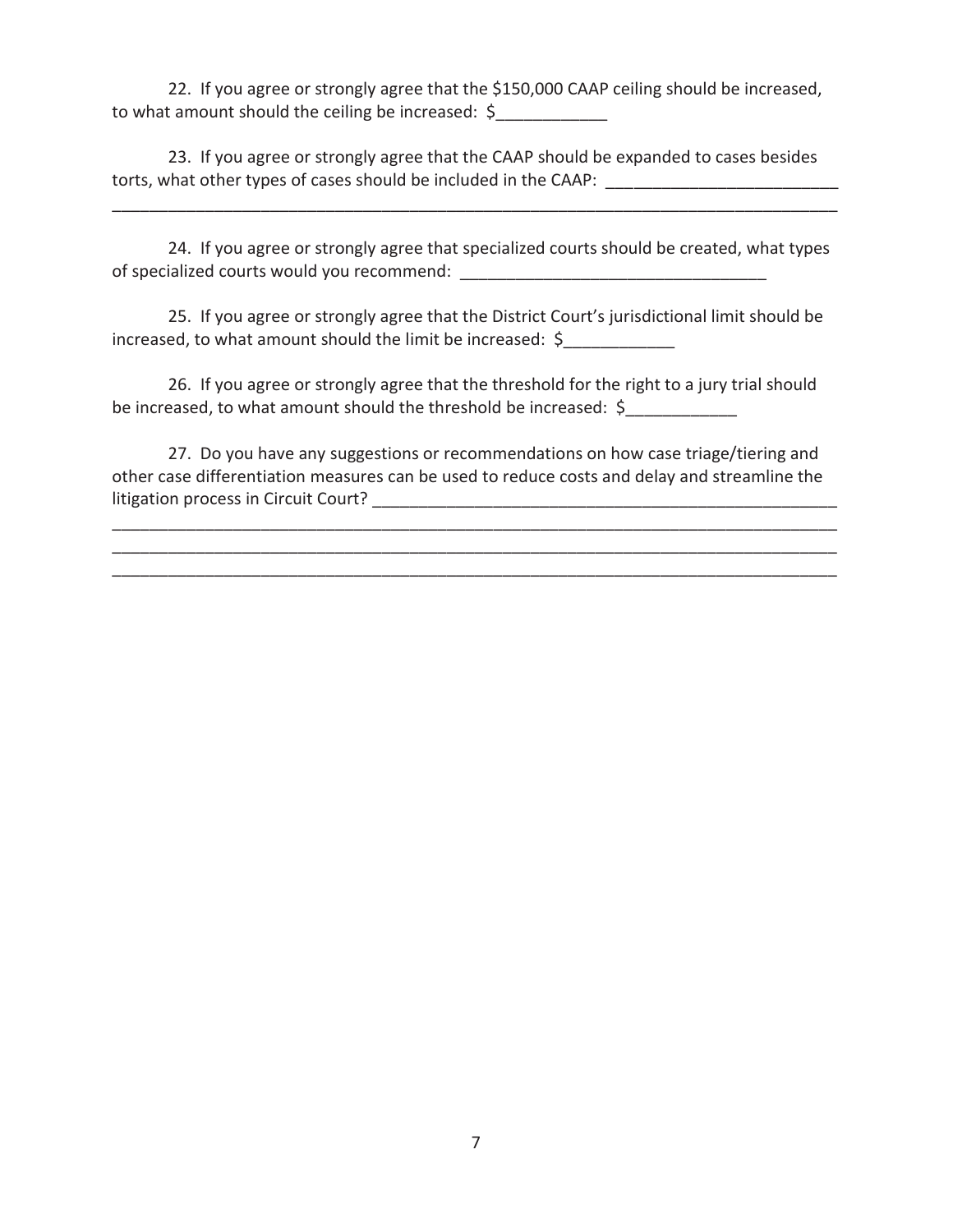22. If you agree or strongly agree that the \$150,000 CAAP ceiling should be increased, to what amount should the ceiling be increased: \$

23. If you agree or strongly agree that the CAAP should be expanded to cases besides torts, what other types of cases should be included in the CAAP:

24. If you agree or strongly agree that specialized courts should be created, what types of specialized courts would you recommend:

\_\_\_\_\_\_\_\_\_\_\_\_\_\_\_\_\_\_\_\_\_\_\_\_\_\_\_\_\_\_\_\_\_\_\_\_\_\_\_\_\_\_\_\_\_\_\_\_\_\_\_\_\_\_\_\_\_\_\_\_\_\_\_\_\_\_\_\_\_\_\_\_\_\_\_\_\_\_

25. If you agree or strongly agree that the District Court's jurisdictional limit should be increased, to what amount should the limit be increased: \$

26. If you agree or strongly agree that the threshold for the right to a jury trial should be increased, to what amount should the threshold be increased: \$

27. Do you have any suggestions or recommendations on how case triage/tiering and other case differentiation measures can be used to reduce costs and delay and streamline the litigation process in Circuit Court? \_\_\_\_\_\_\_\_\_\_\_\_\_\_\_\_\_\_\_\_\_\_\_\_\_\_\_\_\_\_\_\_\_\_\_\_\_\_\_\_\_\_\_\_\_\_\_\_\_\_

\_\_\_\_\_\_\_\_\_\_\_\_\_\_\_\_\_\_\_\_\_\_\_\_\_\_\_\_\_\_\_\_\_\_\_\_\_\_\_\_\_\_\_\_\_\_\_\_\_\_\_\_\_\_\_\_\_\_\_\_\_\_\_\_\_\_\_\_\_\_\_\_\_\_\_\_\_\_ \_\_\_\_\_\_\_\_\_\_\_\_\_\_\_\_\_\_\_\_\_\_\_\_\_\_\_\_\_\_\_\_\_\_\_\_\_\_\_\_\_\_\_\_\_\_\_\_\_\_\_\_\_\_\_\_\_\_\_\_\_\_\_\_\_\_\_\_\_\_\_\_\_\_\_\_\_\_ \_\_\_\_\_\_\_\_\_\_\_\_\_\_\_\_\_\_\_\_\_\_\_\_\_\_\_\_\_\_\_\_\_\_\_\_\_\_\_\_\_\_\_\_\_\_\_\_\_\_\_\_\_\_\_\_\_\_\_\_\_\_\_\_\_\_\_\_\_\_\_\_\_\_\_\_\_\_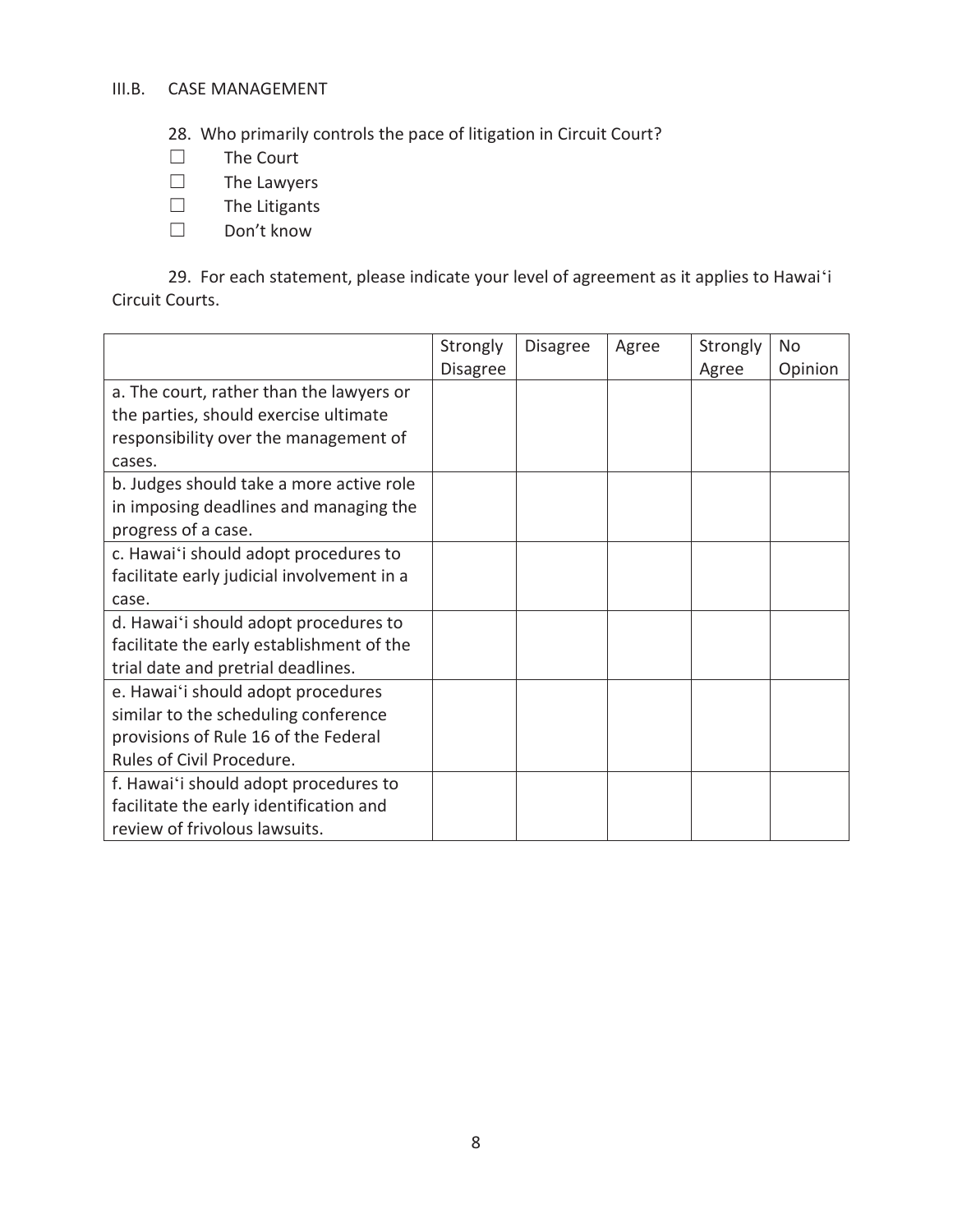# III.B. CASE MANAGEMENT

28. Who primarily controls the pace of litigation in Circuit Court?

- $\Box$  The Court<br> $\Box$  The Lawye
- 
- $\Box$  The Lawyers<br> $\Box$  The Litigants  $\Box$  The Litigants<br> $\Box$  Don't know
- Don't know

29. For each statement, please indicate your level of agreement as it applies to Hawaiʻi Circuit Courts.

|                                            | Strongly        | <b>Disagree</b> | Agree | Strongly | <b>No</b> |
|--------------------------------------------|-----------------|-----------------|-------|----------|-----------|
|                                            | <b>Disagree</b> |                 |       | Agree    | Opinion   |
| a. The court, rather than the lawyers or   |                 |                 |       |          |           |
| the parties, should exercise ultimate      |                 |                 |       |          |           |
| responsibility over the management of      |                 |                 |       |          |           |
| cases.                                     |                 |                 |       |          |           |
| b. Judges should take a more active role   |                 |                 |       |          |           |
| in imposing deadlines and managing the     |                 |                 |       |          |           |
| progress of a case.                        |                 |                 |       |          |           |
| c. Hawai'i should adopt procedures to      |                 |                 |       |          |           |
| facilitate early judicial involvement in a |                 |                 |       |          |           |
| case.                                      |                 |                 |       |          |           |
| d. Hawai'i should adopt procedures to      |                 |                 |       |          |           |
| facilitate the early establishment of the  |                 |                 |       |          |           |
| trial date and pretrial deadlines.         |                 |                 |       |          |           |
| e. Hawai'i should adopt procedures         |                 |                 |       |          |           |
| similar to the scheduling conference       |                 |                 |       |          |           |
| provisions of Rule 16 of the Federal       |                 |                 |       |          |           |
| Rules of Civil Procedure.                  |                 |                 |       |          |           |
| f. Hawai'i should adopt procedures to      |                 |                 |       |          |           |
| facilitate the early identification and    |                 |                 |       |          |           |
| review of frivolous lawsuits.              |                 |                 |       |          |           |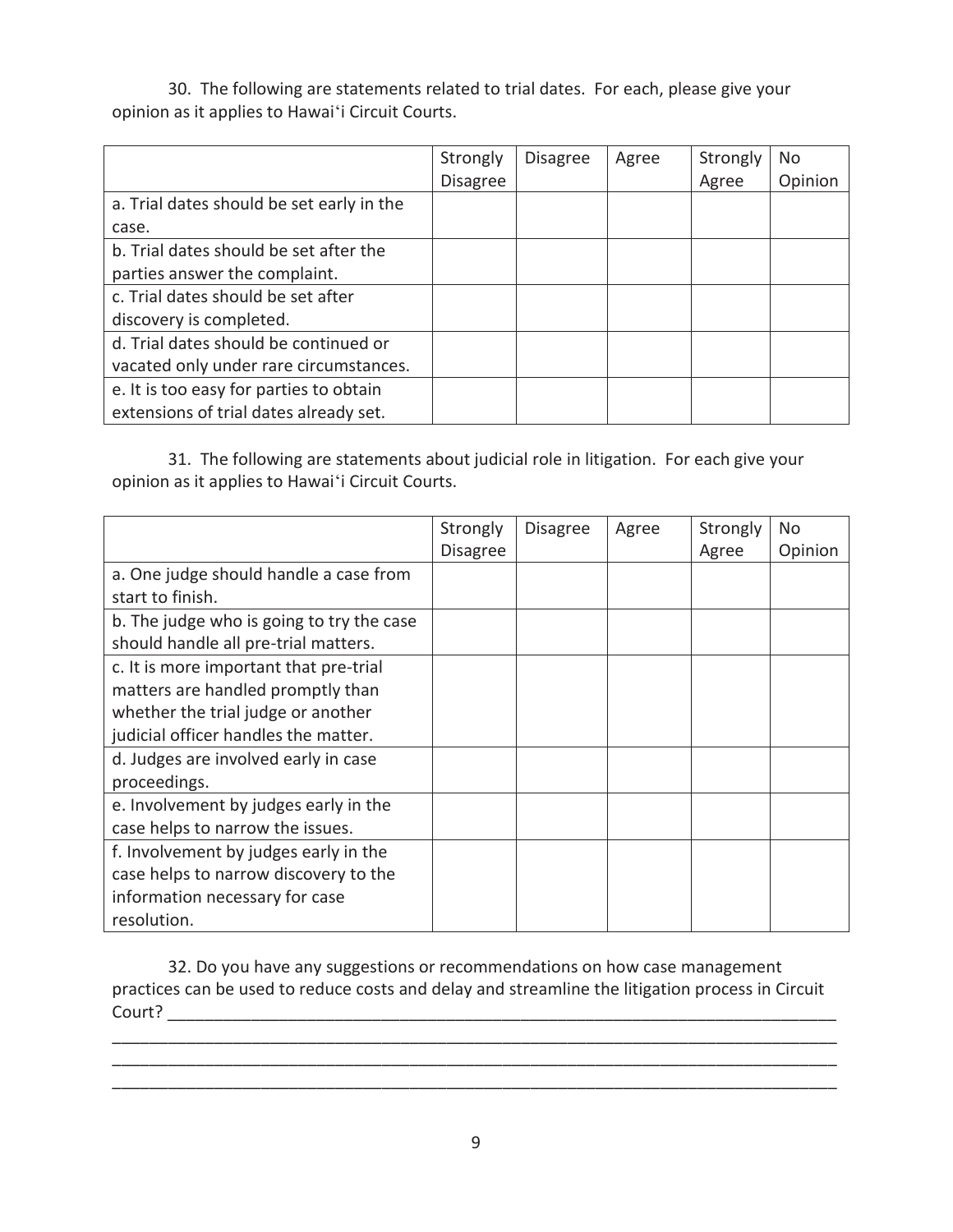30. The following are statements related to trial dates. For each, please give your opinion as it applies to Hawaiʻi Circuit Courts.

|                                           | Strongly        | <b>Disagree</b> | Agree | Strongly | No      |
|-------------------------------------------|-----------------|-----------------|-------|----------|---------|
|                                           | <b>Disagree</b> |                 |       | Agree    | Opinion |
| a. Trial dates should be set early in the |                 |                 |       |          |         |
| case.                                     |                 |                 |       |          |         |
| b. Trial dates should be set after the    |                 |                 |       |          |         |
| parties answer the complaint.             |                 |                 |       |          |         |
| c. Trial dates should be set after        |                 |                 |       |          |         |
| discovery is completed.                   |                 |                 |       |          |         |
| d. Trial dates should be continued or     |                 |                 |       |          |         |
| vacated only under rare circumstances.    |                 |                 |       |          |         |
| e. It is too easy for parties to obtain   |                 |                 |       |          |         |
| extensions of trial dates already set.    |                 |                 |       |          |         |

31. The following are statements about judicial role in litigation. For each give your opinion as it applies to Hawaiʻi Circuit Courts.

|                                           | Strongly        | <b>Disagree</b> | Agree | Strongly | N <sub>0</sub> |
|-------------------------------------------|-----------------|-----------------|-------|----------|----------------|
|                                           | <b>Disagree</b> |                 |       | Agree    | Opinion        |
| a. One judge should handle a case from    |                 |                 |       |          |                |
| start to finish.                          |                 |                 |       |          |                |
| b. The judge who is going to try the case |                 |                 |       |          |                |
| should handle all pre-trial matters.      |                 |                 |       |          |                |
| c. It is more important that pre-trial    |                 |                 |       |          |                |
| matters are handled promptly than         |                 |                 |       |          |                |
| whether the trial judge or another        |                 |                 |       |          |                |
| judicial officer handles the matter.      |                 |                 |       |          |                |
| d. Judges are involved early in case      |                 |                 |       |          |                |
| proceedings.                              |                 |                 |       |          |                |
| e. Involvement by judges early in the     |                 |                 |       |          |                |
| case helps to narrow the issues.          |                 |                 |       |          |                |
| f. Involvement by judges early in the     |                 |                 |       |          |                |
| case helps to narrow discovery to the     |                 |                 |       |          |                |
| information necessary for case            |                 |                 |       |          |                |
| resolution.                               |                 |                 |       |          |                |

32. Do you have any suggestions or recommendations on how case management practices can be used to reduce costs and delay and streamline the litigation process in Circuit Court? \_\_\_\_\_\_\_\_\_\_\_\_\_\_\_\_\_\_\_\_\_\_\_\_\_\_\_\_\_\_\_\_\_\_\_\_\_\_\_\_\_\_\_\_\_\_\_\_\_\_\_\_\_\_\_\_\_\_\_\_\_\_\_\_\_\_\_\_\_\_\_\_

\_\_\_\_\_\_\_\_\_\_\_\_\_\_\_\_\_\_\_\_\_\_\_\_\_\_\_\_\_\_\_\_\_\_\_\_\_\_\_\_\_\_\_\_\_\_\_\_\_\_\_\_\_\_\_\_\_\_\_\_\_\_\_\_\_\_\_\_\_\_\_\_\_\_\_\_\_\_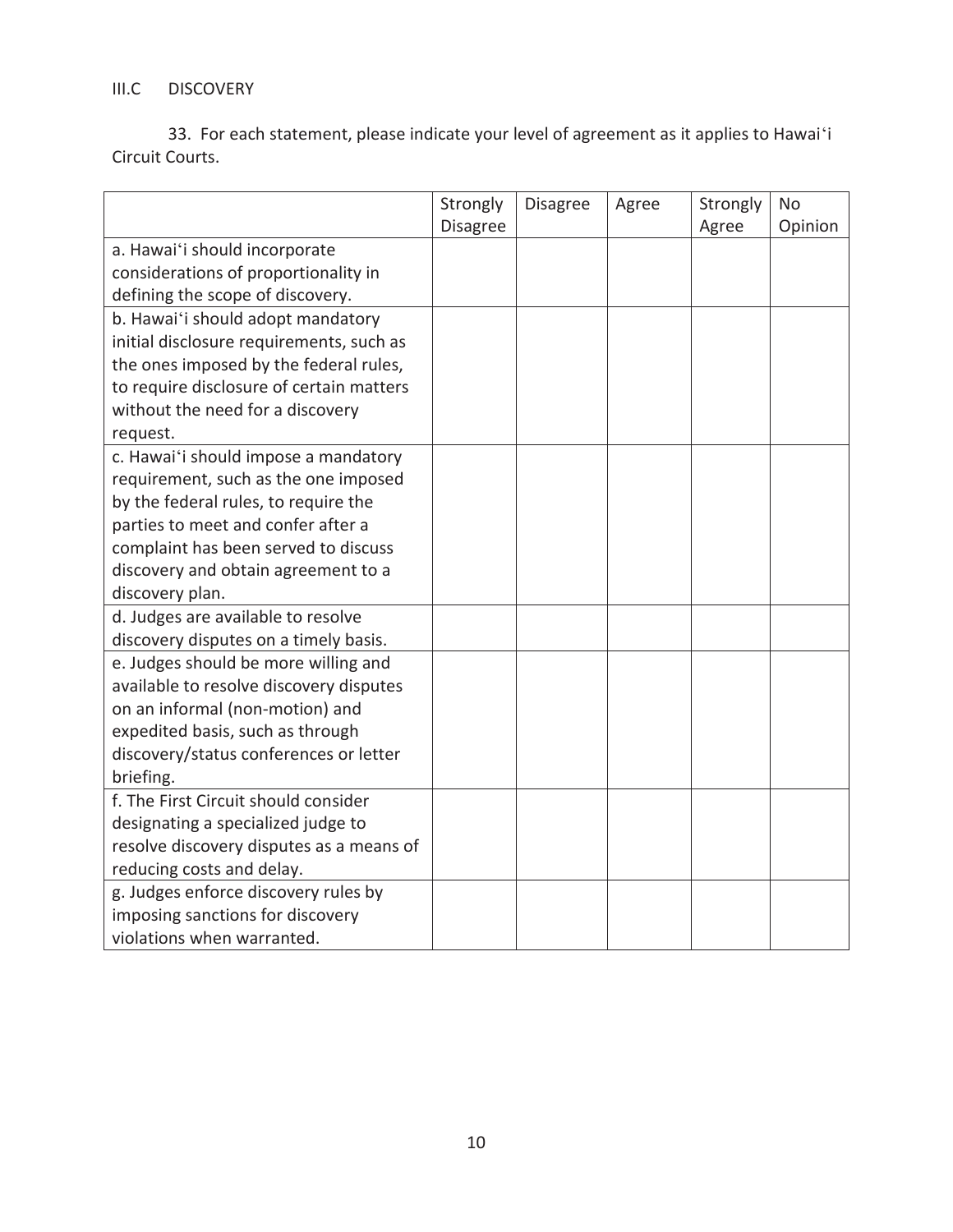# III.C DISCOVERY

33. For each statement, please indicate your level of agreement as it applies to Hawaiʻi Circuit Courts.

|                                          | Strongly | <b>Disagree</b> | Agree | Strongly | <b>No</b> |
|------------------------------------------|----------|-----------------|-------|----------|-----------|
|                                          | Disagree |                 |       | Agree    | Opinion   |
| a. Hawai'i should incorporate            |          |                 |       |          |           |
| considerations of proportionality in     |          |                 |       |          |           |
| defining the scope of discovery.         |          |                 |       |          |           |
| b. Hawai'i should adopt mandatory        |          |                 |       |          |           |
| initial disclosure requirements, such as |          |                 |       |          |           |
| the ones imposed by the federal rules,   |          |                 |       |          |           |
| to require disclosure of certain matters |          |                 |       |          |           |
| without the need for a discovery         |          |                 |       |          |           |
| request.                                 |          |                 |       |          |           |
| c. Hawai'i should impose a mandatory     |          |                 |       |          |           |
| requirement, such as the one imposed     |          |                 |       |          |           |
| by the federal rules, to require the     |          |                 |       |          |           |
| parties to meet and confer after a       |          |                 |       |          |           |
| complaint has been served to discuss     |          |                 |       |          |           |
| discovery and obtain agreement to a      |          |                 |       |          |           |
| discovery plan.                          |          |                 |       |          |           |
| d. Judges are available to resolve       |          |                 |       |          |           |
| discovery disputes on a timely basis.    |          |                 |       |          |           |
| e. Judges should be more willing and     |          |                 |       |          |           |
| available to resolve discovery disputes  |          |                 |       |          |           |
| on an informal (non-motion) and          |          |                 |       |          |           |
| expedited basis, such as through         |          |                 |       |          |           |
| discovery/status conferences or letter   |          |                 |       |          |           |
| briefing.                                |          |                 |       |          |           |
| f. The First Circuit should consider     |          |                 |       |          |           |
| designating a specialized judge to       |          |                 |       |          |           |
| resolve discovery disputes as a means of |          |                 |       |          |           |
| reducing costs and delay.                |          |                 |       |          |           |
| g. Judges enforce discovery rules by     |          |                 |       |          |           |
| imposing sanctions for discovery         |          |                 |       |          |           |
| violations when warranted.               |          |                 |       |          |           |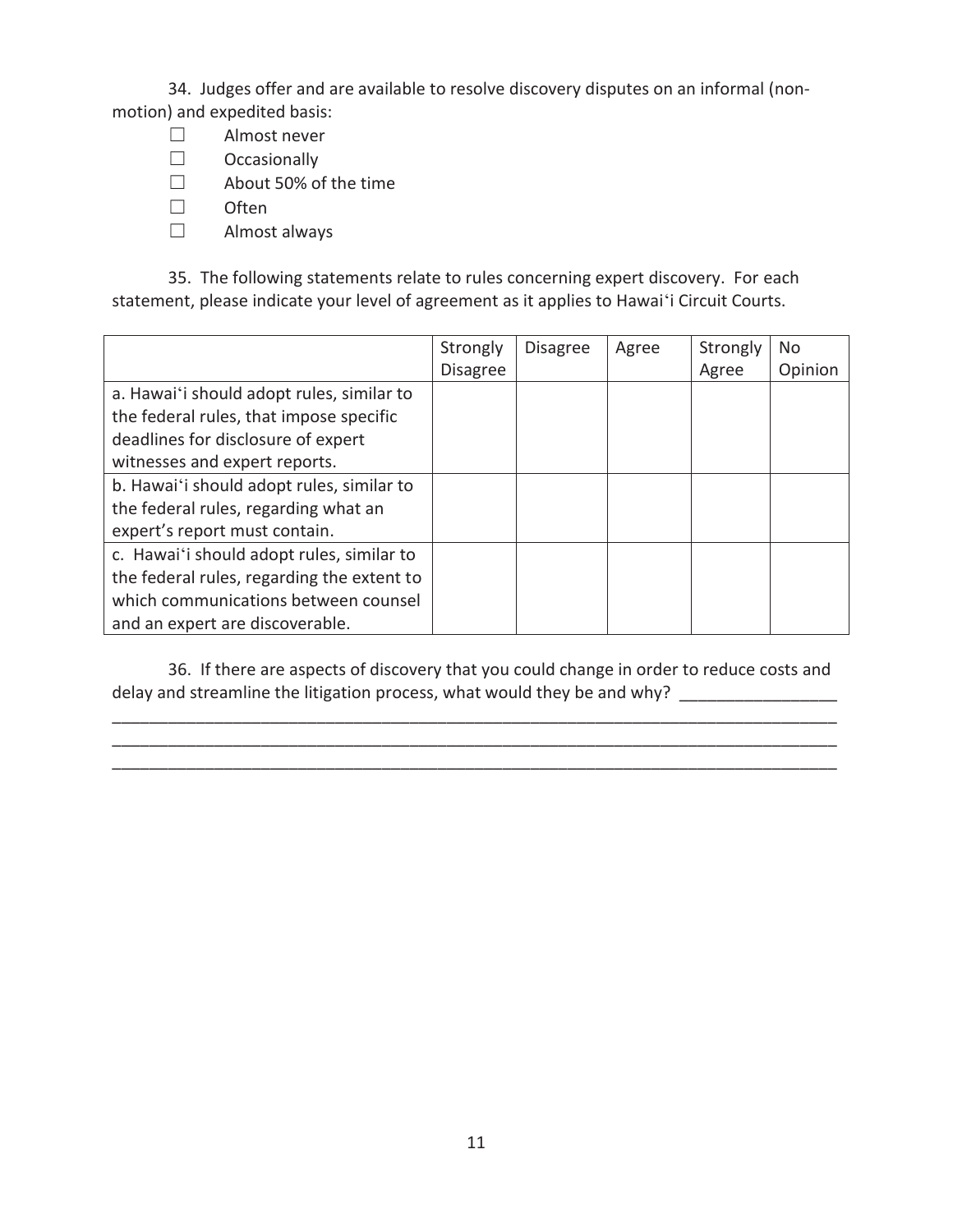34. Judges offer and are available to resolve discovery disputes on an informal (nonmotion) and expedited basis:

- ܆ Almost never
- $\Box$  Occasionally
- □ About 50% of the time
- $\square$  Often
- $\Box$  Almost always

35. The following statements relate to rules concerning expert discovery. For each statement, please indicate your level of agreement as it applies to Hawaiʻi Circuit Courts.

|                                            | Strongly        | <b>Disagree</b> | Agree | Strongly | N <sub>0</sub> |
|--------------------------------------------|-----------------|-----------------|-------|----------|----------------|
|                                            | <b>Disagree</b> |                 |       | Agree    | Opinion        |
| a. Hawai'i should adopt rules, similar to  |                 |                 |       |          |                |
| the federal rules, that impose specific    |                 |                 |       |          |                |
| deadlines for disclosure of expert         |                 |                 |       |          |                |
| witnesses and expert reports.              |                 |                 |       |          |                |
| b. Hawai'i should adopt rules, similar to  |                 |                 |       |          |                |
| the federal rules, regarding what an       |                 |                 |       |          |                |
| expert's report must contain.              |                 |                 |       |          |                |
| c. Hawai'i should adopt rules, similar to  |                 |                 |       |          |                |
| the federal rules, regarding the extent to |                 |                 |       |          |                |
| which communications between counsel       |                 |                 |       |          |                |
| and an expert are discoverable.            |                 |                 |       |          |                |

36. If there are aspects of discovery that you could change in order to reduce costs and delay and streamline the litigation process, what would they be and why? \_\_\_\_\_\_\_\_\_\_\_\_\_

\_\_\_\_\_\_\_\_\_\_\_\_\_\_\_\_\_\_\_\_\_\_\_\_\_\_\_\_\_\_\_\_\_\_\_\_\_\_\_\_\_\_\_\_\_\_\_\_\_\_\_\_\_\_\_\_\_\_\_\_\_\_\_\_\_\_\_\_\_\_\_\_\_\_\_\_\_\_ \_\_\_\_\_\_\_\_\_\_\_\_\_\_\_\_\_\_\_\_\_\_\_\_\_\_\_\_\_\_\_\_\_\_\_\_\_\_\_\_\_\_\_\_\_\_\_\_\_\_\_\_\_\_\_\_\_\_\_\_\_\_\_\_\_\_\_\_\_\_\_\_\_\_\_\_\_\_ \_\_\_\_\_\_\_\_\_\_\_\_\_\_\_\_\_\_\_\_\_\_\_\_\_\_\_\_\_\_\_\_\_\_\_\_\_\_\_\_\_\_\_\_\_\_\_\_\_\_\_\_\_\_\_\_\_\_\_\_\_\_\_\_\_\_\_\_\_\_\_\_\_\_\_\_\_\_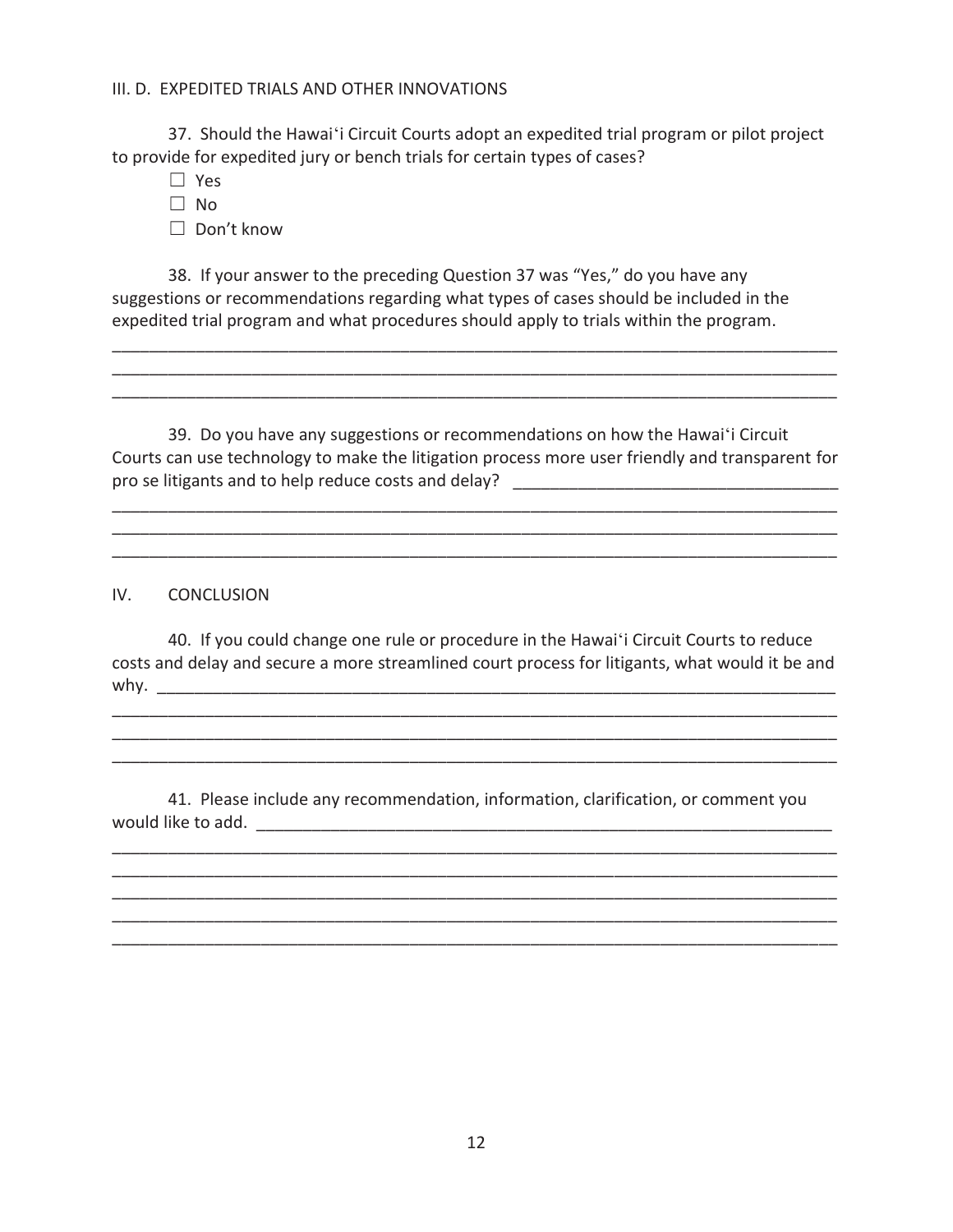#### III. D. EXPEDITED TRIALS AND OTHER INNOVATIONS

 37. Should the Hawaiʻi Circuit Courts adopt an expedited trial program or pilot project to provide for expedited jury or bench trials for certain types of cases?

- $\square$  Yes
- $\Box$  No

□ Don't know

 38. If your answer to the preceding Question 37 was "Yes," do you have any suggestions or recommendations regarding what types of cases should be included in the expedited trial program and what procedures should apply to trials within the program.

 39. Do you have any suggestions or recommendations on how the Hawaiʻi Circuit Courts can use technology to make the litigation process more user friendly and transparent for pro se litigants and to help reduce costs and delay? \_\_\_\_\_\_\_\_\_\_\_\_\_\_\_\_\_\_\_\_\_\_\_\_\_\_\_\_\_\_\_\_\_\_\_

\_\_\_\_\_\_\_\_\_\_\_\_\_\_\_\_\_\_\_\_\_\_\_\_\_\_\_\_\_\_\_\_\_\_\_\_\_\_\_\_\_\_\_\_\_\_\_\_\_\_\_\_\_\_\_\_\_\_\_\_\_\_\_\_\_\_\_\_\_\_\_\_\_\_\_\_\_\_ \_\_\_\_\_\_\_\_\_\_\_\_\_\_\_\_\_\_\_\_\_\_\_\_\_\_\_\_\_\_\_\_\_\_\_\_\_\_\_\_\_\_\_\_\_\_\_\_\_\_\_\_\_\_\_\_\_\_\_\_\_\_\_\_\_\_\_\_\_\_\_\_\_\_\_\_\_\_ \_\_\_\_\_\_\_\_\_\_\_\_\_\_\_\_\_\_\_\_\_\_\_\_\_\_\_\_\_\_\_\_\_\_\_\_\_\_\_\_\_\_\_\_\_\_\_\_\_\_\_\_\_\_\_\_\_\_\_\_\_\_\_\_\_\_\_\_\_\_\_\_\_\_\_\_\_\_

\_\_\_\_\_\_\_\_\_\_\_\_\_\_\_\_\_\_\_\_\_\_\_\_\_\_\_\_\_\_\_\_\_\_\_\_\_\_\_\_\_\_\_\_\_\_\_\_\_\_\_\_\_\_\_\_\_\_\_\_\_\_\_\_\_\_\_\_\_\_\_\_\_\_\_\_\_\_ \_\_\_\_\_\_\_\_\_\_\_\_\_\_\_\_\_\_\_\_\_\_\_\_\_\_\_\_\_\_\_\_\_\_\_\_\_\_\_\_\_\_\_\_\_\_\_\_\_\_\_\_\_\_\_\_\_\_\_\_\_\_\_\_\_\_\_\_\_\_\_\_\_\_\_\_\_\_ \_\_\_\_\_\_\_\_\_\_\_\_\_\_\_\_\_\_\_\_\_\_\_\_\_\_\_\_\_\_\_\_\_\_\_\_\_\_\_\_\_\_\_\_\_\_\_\_\_\_\_\_\_\_\_\_\_\_\_\_\_\_\_\_\_\_\_\_\_\_\_\_\_\_\_\_\_\_

IV. CONCLUSION

40. If you could change one rule or procedure in the Hawaiʻi Circuit Courts to reduce costs and delay and secure a more streamlined court process for litigants, what would it be and why.  $\underline{\hspace{1cm}}$ 

\_\_\_\_\_\_\_\_\_\_\_\_\_\_\_\_\_\_\_\_\_\_\_\_\_\_\_\_\_\_\_\_\_\_\_\_\_\_\_\_\_\_\_\_\_\_\_\_\_\_\_\_\_\_\_\_\_\_\_\_\_\_\_\_\_\_\_\_\_\_\_\_\_\_\_\_\_\_ \_\_\_\_\_\_\_\_\_\_\_\_\_\_\_\_\_\_\_\_\_\_\_\_\_\_\_\_\_\_\_\_\_\_\_\_\_\_\_\_\_\_\_\_\_\_\_\_\_\_\_\_\_\_\_\_\_\_\_\_\_\_\_\_\_\_\_\_\_\_\_\_\_\_\_\_\_\_ \_\_\_\_\_\_\_\_\_\_\_\_\_\_\_\_\_\_\_\_\_\_\_\_\_\_\_\_\_\_\_\_\_\_\_\_\_\_\_\_\_\_\_\_\_\_\_\_\_\_\_\_\_\_\_\_\_\_\_\_\_\_\_\_\_\_\_\_\_\_\_\_\_\_\_\_\_\_

41. Please include any recommendation, information, clarification, or comment you would like to add. \_\_\_\_\_\_\_\_\_\_\_\_\_\_\_\_\_\_\_\_\_\_\_\_\_\_\_\_\_\_\_\_\_\_\_\_\_\_\_\_\_\_\_\_\_\_\_\_\_\_\_\_\_\_\_\_\_\_\_\_\_\_

\_\_\_\_\_\_\_\_\_\_\_\_\_\_\_\_\_\_\_\_\_\_\_\_\_\_\_\_\_\_\_\_\_\_\_\_\_\_\_\_\_\_\_\_\_\_\_\_\_\_\_\_\_\_\_\_\_\_\_\_\_\_\_\_\_\_\_\_\_\_\_\_\_\_\_\_\_\_ \_\_\_\_\_\_\_\_\_\_\_\_\_\_\_\_\_\_\_\_\_\_\_\_\_\_\_\_\_\_\_\_\_\_\_\_\_\_\_\_\_\_\_\_\_\_\_\_\_\_\_\_\_\_\_\_\_\_\_\_\_\_\_\_\_\_\_\_\_\_\_\_\_\_\_\_\_\_ \_\_\_\_\_\_\_\_\_\_\_\_\_\_\_\_\_\_\_\_\_\_\_\_\_\_\_\_\_\_\_\_\_\_\_\_\_\_\_\_\_\_\_\_\_\_\_\_\_\_\_\_\_\_\_\_\_\_\_\_\_\_\_\_\_\_\_\_\_\_\_\_\_\_\_\_\_\_ \_\_\_\_\_\_\_\_\_\_\_\_\_\_\_\_\_\_\_\_\_\_\_\_\_\_\_\_\_\_\_\_\_\_\_\_\_\_\_\_\_\_\_\_\_\_\_\_\_\_\_\_\_\_\_\_\_\_\_\_\_\_\_\_\_\_\_\_\_\_\_\_\_\_\_\_\_\_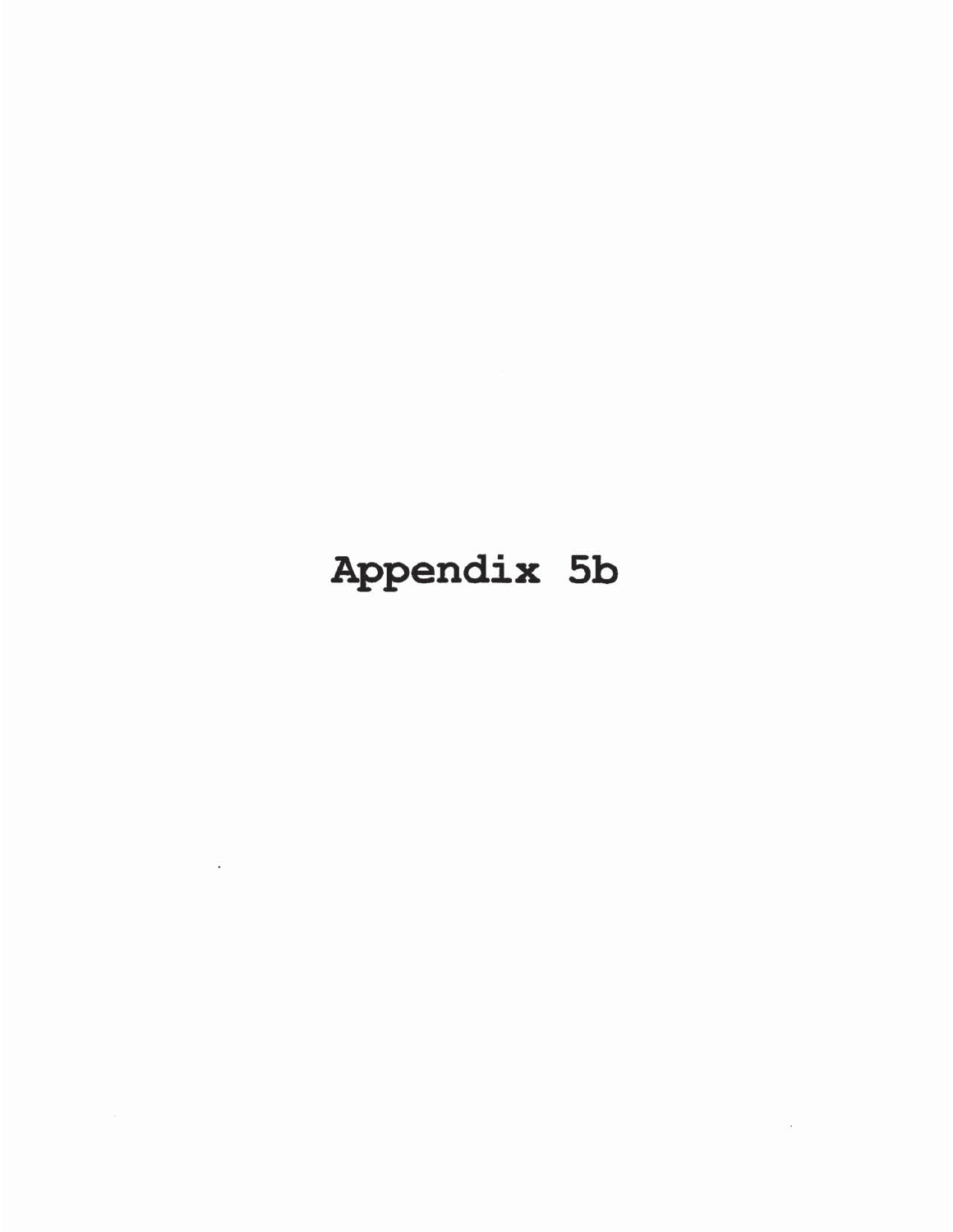# Appendix 5b

 $\mathcal{C}^{\mathcal{C}}_{\mathcal{C}}$ 

the contract of the contract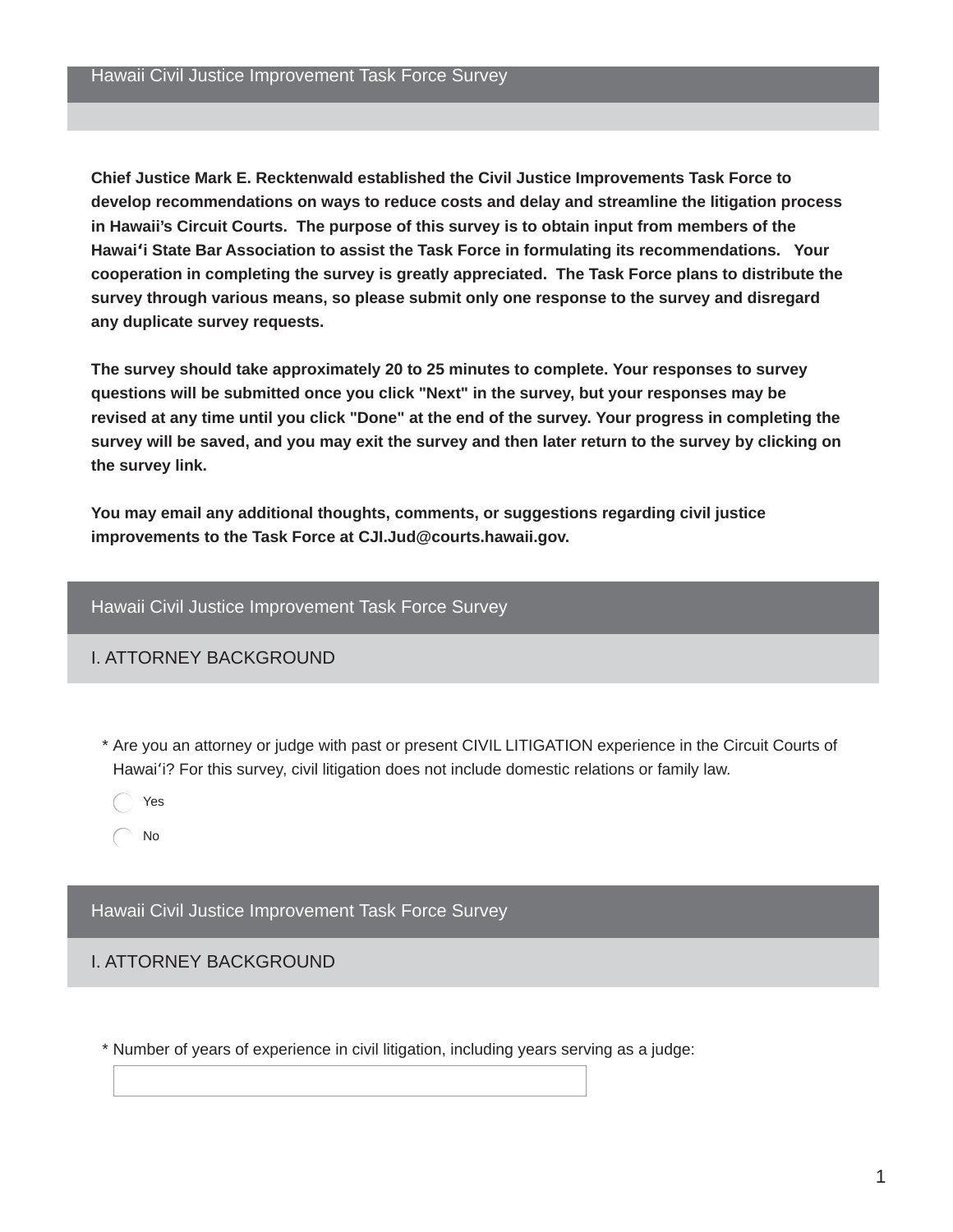Chief Justice Mark E. Recktenwald established the Civil Justice Improvements Task Force to develop recommendations on ways to reduce costs and delay and streamline the litigation process in Hawaii's Circuit Courts. The purpose of this survey is to obtain input from members of the Hawai'i State Bar Association to assist the Task Force in formulating its recommendations. Your cooperation in completing the survey is greatly appreciated. The Task Force plans to distribute the survey through various means, so please submit only one response to the survey and disregard any duplicate survey requests.

The survey should take approximately 20 to 25 minutes to complete. Your responses to survey questions will be submitted once you click "Next" in the survey, but your responses may be revised at any time until you click "Done" at the end of the survey. Your progress in completing the survey will be saved, and you may exit the survey and then later return to the survey by clicking on the survey link.

You may email any additional thoughts, comments, or suggestions regarding civil justice improvements to the Task Force at CJI.Jud@courts.hawaii.gov.

#### Hawaii Civil Justice Improvement Task Force Survey

#### **L ATTORNEY BACKGROUND**

- \* Are you an attorney or judge with past or present CIVIL LITIGATION experience in the Circuit Courts of Hawai'i? For this survey, civil litigation does not include domestic relations or family law.
	- Yes
	- No

Hawaii Civil Justice Improvement Task Force Survey

#### **L ATTORNEY BACKGROUND**

\* Number of years of experience in civil litigation, including years serving as a judge: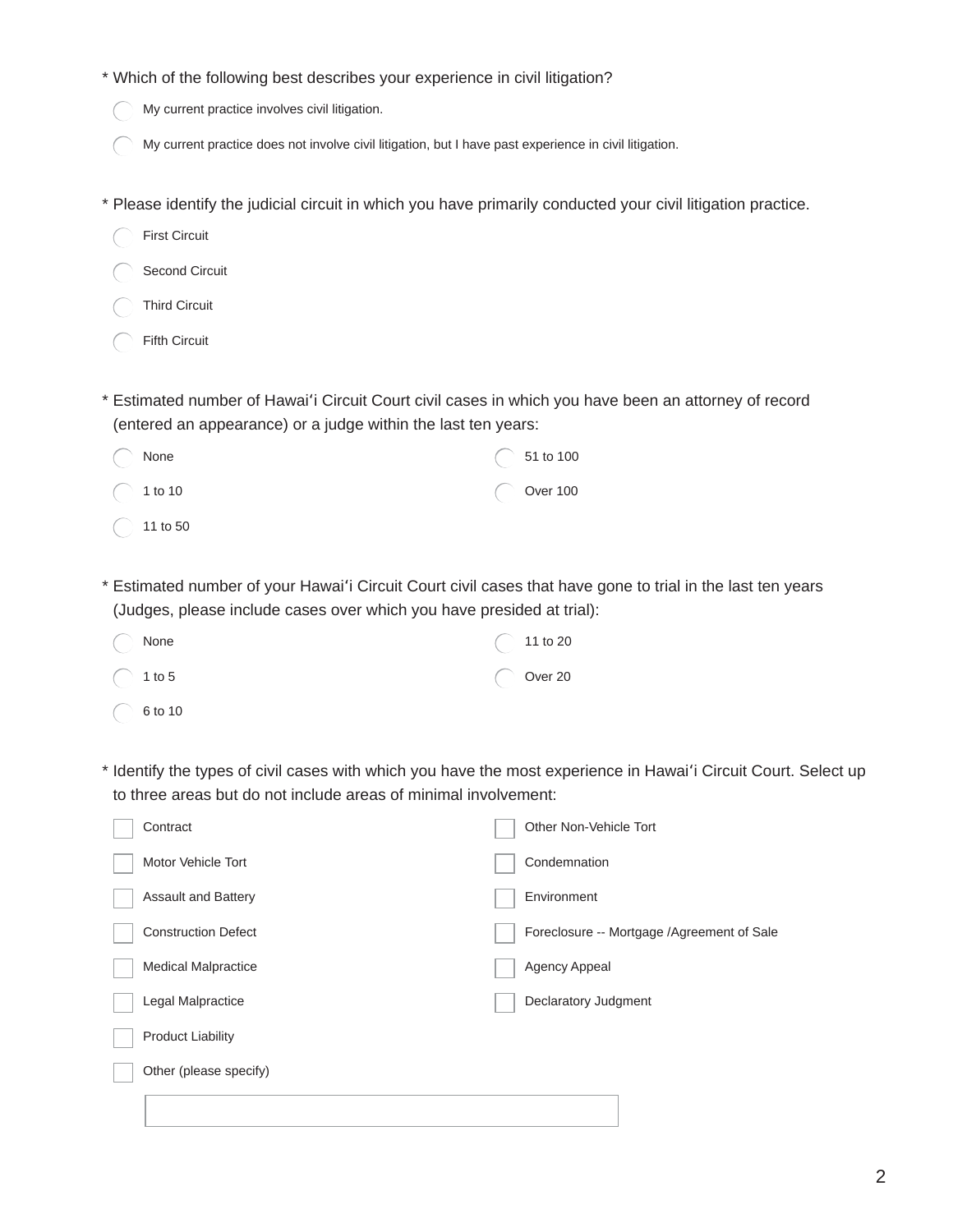|  |  | * Which of the following best describes your experience in civil litigation? |  |  |  |
|--|--|------------------------------------------------------------------------------|--|--|--|
|  |  |                                                                              |  |  |  |

- My current practice involves civil litigation.
- My current practice does not involve civil litigation, but I have past experience in civil litigation.
- \* Please identify the judicial circuit in which you have primarily conducted your civil litigation practice.
- **First Circuit** Second Circuit Third Circuit Fifth Circuit \* Estimated number of Hawai'i Circuit Court civil cases in which you have been an attorney of record (entered an appearance) or a judge within the last ten years: None 51 to 100 **Over 100**  $\bigcirc$  1 to 10
	- $\bigcirc$  11 to 50
- \* Estimated number of your Hawai'i Circuit Court civil cases that have gone to trial in the last ten years (Judges, please include cases over which you have presided at trial):

| $\bigcirc$ None    | $\bigcirc$ 11 to 20 |
|--------------------|---------------------|
| $\bigcirc$ 1 to 5  | $\bigcirc$ Over 20  |
| $\bigcirc$ 6 to 10 |                     |

\* Identify the types of civil cases with which you have the most experience in Hawai'i Circuit Court. Select up to three areas but do not include areas of minimal involvement:

| Contract                   | Other Non-Vehicle Tort                     |
|----------------------------|--------------------------------------------|
| Motor Vehicle Tort         | Condemnation                               |
| <b>Assault and Battery</b> | Environment                                |
| <b>Construction Defect</b> | Foreclosure -- Mortgage /Agreement of Sale |
| <b>Medical Malpractice</b> | Agency Appeal                              |
| Legal Malpractice          | Declaratory Judgment                       |
| <b>Product Liability</b>   |                                            |
| Other (please specify)     |                                            |
|                            |                                            |
|                            |                                            |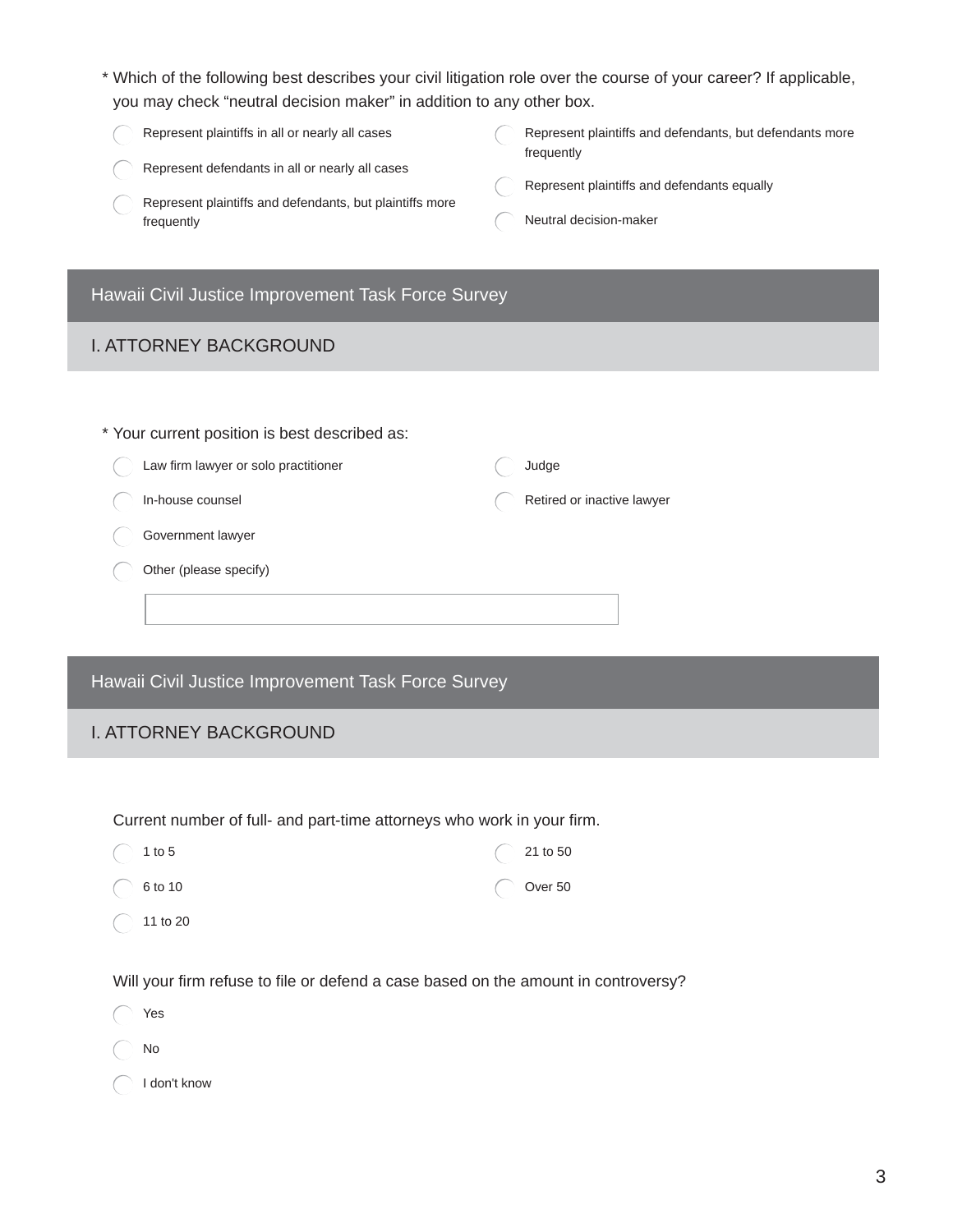- \* Which of the following best describes your civil litigation role over the course of your career? If applicable, you may check "neutral decision maker" in addition to any other box.
	- Represent plaintiffs in all or nearly all cases
	- Represent defendants in all or nearly all cases
	- Represent plaintiffs and defendants, but plaintiffs more frequently
- Represent plaintiffs and defendants, but defendants more frequently
- Represent plaintiffs and defendants equally
- Neutral decision-maker

#### Hawaii Civil Justice Improvement Task Force Survey

#### **I. ATTORNEY BACKGROUND**

| * Your current position is best described as: |                            |
|-----------------------------------------------|----------------------------|
| Law firm lawyer or solo practitioner          | Judge                      |
| In-house counsel                              | Retired or inactive lawyer |
| Government lawyer                             |                            |
| Other (please specify)                        |                            |
|                                               |                            |
|                                               |                            |

Hawaii Civil Justice Improvement Task Force Survey

#### **I. ATTORNEY BACKGROUND**

Current number of full- and part-time attorneys who work in your firm.

| $\bigcirc$ 1 to 5   | $\bigcirc$ 21 to 50 |
|---------------------|---------------------|
| $\bigcirc$ 6 to 10  | $\bigcirc$ Over 50  |
| $\bigcirc$ 11 to 20 |                     |

Will your firm refuse to file or defend a case based on the amount in controversy?

|               | $\bigcirc$ Yes         |
|---------------|------------------------|
| $\bigcirc$ No |                        |
|               | $\bigcap$ I don't know |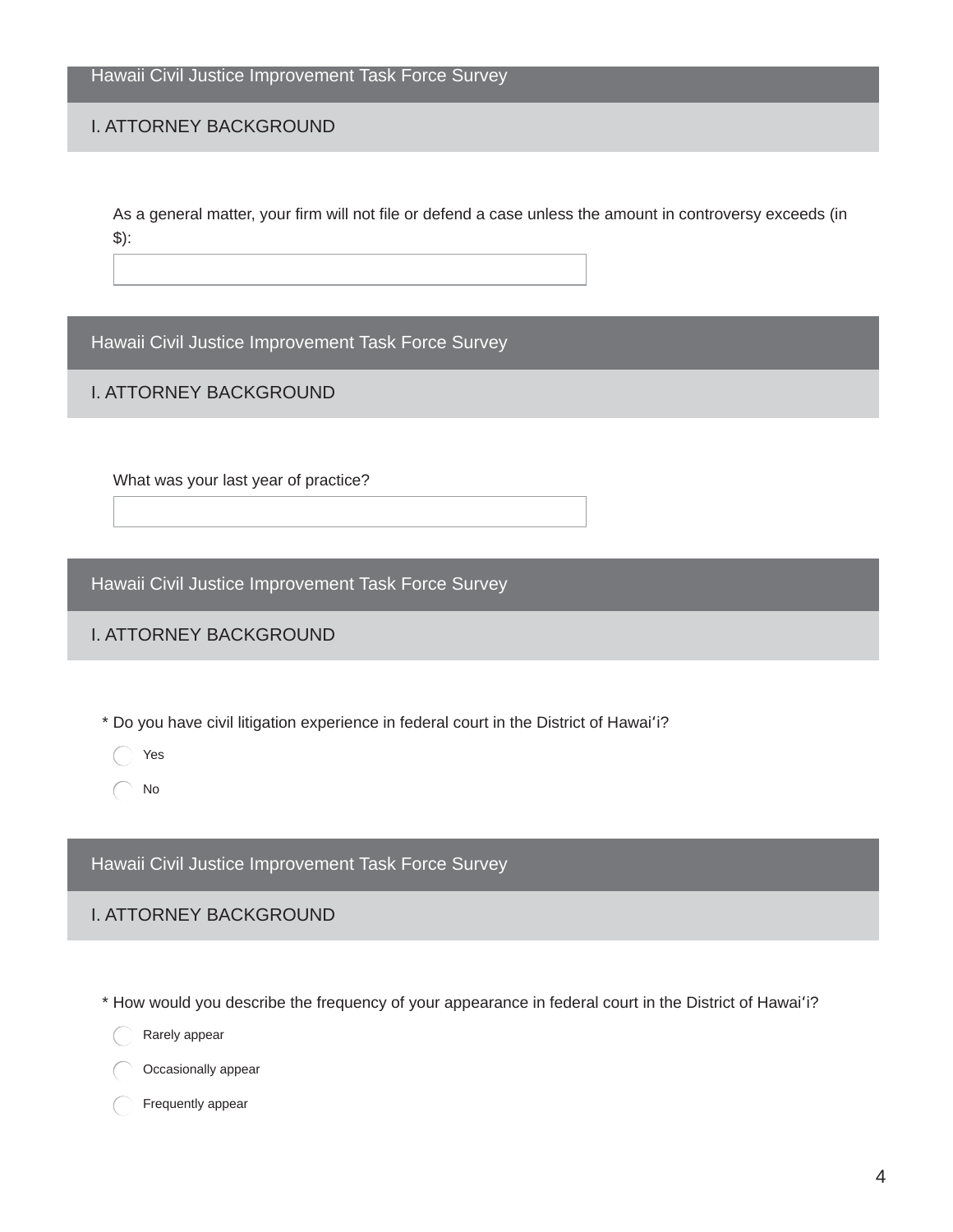Hawaii Civil Justice Improvement Task Force Survey

#### **I. ATTORNEY BACKGROUND**

As a general matter, your firm will not file or defend a case unless the amount in controversy exceeds (in  $$):$ 

Hawaii Civil Justice Improvement Task Force Survey

#### **I. ATTORNEY BACKGROUND**

What was your last year of practice?

Hawaii Civil Justice Improvement Task Force Survey

#### **I. ATTORNEY BACKGROUND**

\* Do you have civil litigation experience in federal court in the District of Hawai'i?

Yes

 $\bigcap$  No

Hawaii Civil Justice Improvement Task Force Survey

#### **I. ATTORNEY BACKGROUND**

- \* How would you describe the frequency of your appearance in federal court in the District of Hawai'i?
	- Rarely appear
	- Occasionally appear
	- Frequently appear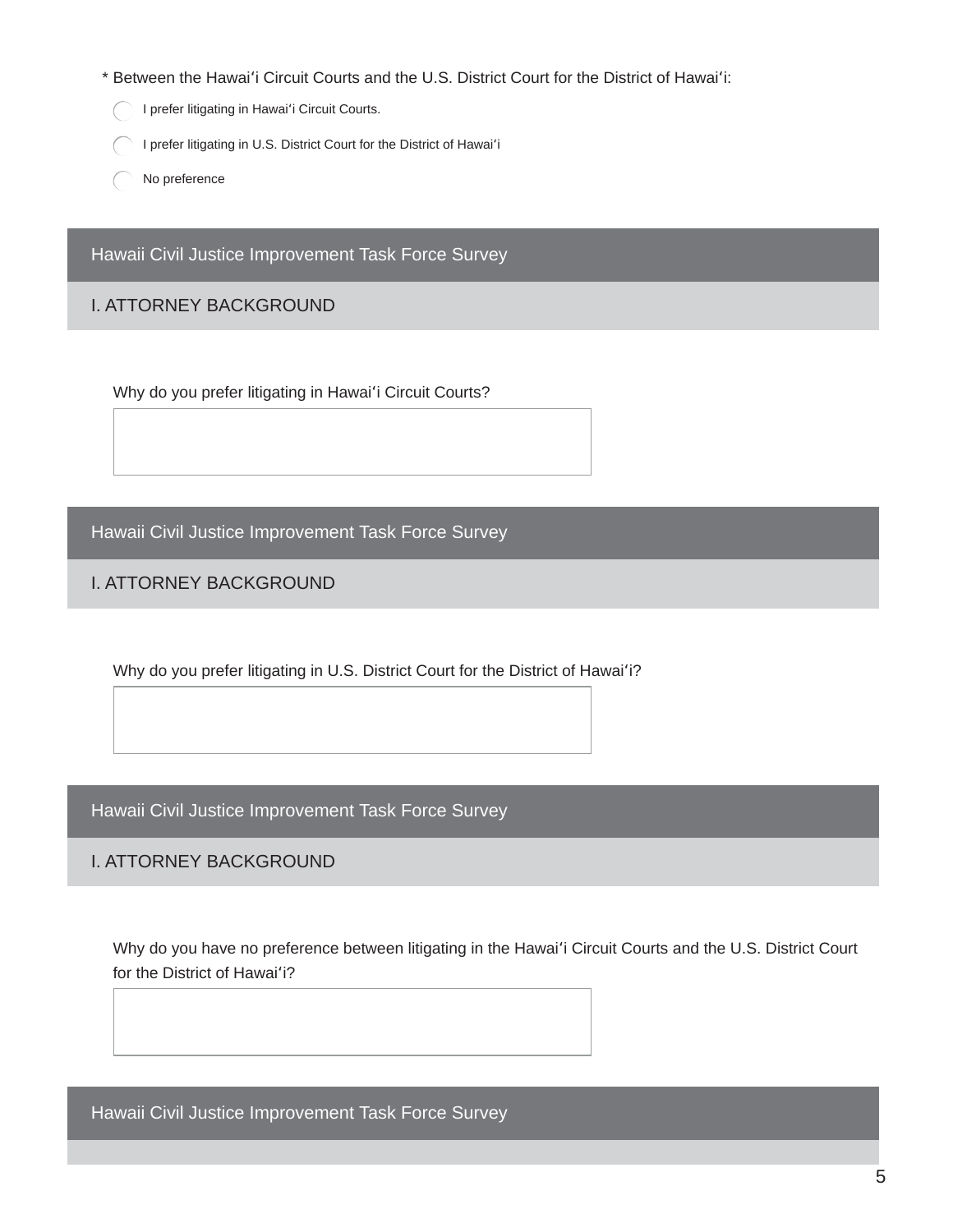- \* Between the Hawai'i Circuit Courts and the U.S. District Court for the District of Hawai'i:
	- I prefer litigating in Hawai'i Circuit Courts.
	- I prefer litigating in U.S. District Court for the District of Hawai'i
	- No preference

Hawaii Civil Justice Improvement Task Force Survey

#### **I. ATTORNEY BACKGROUND**

Why do you prefer litigating in Hawai'i Circuit Courts?

Hawaii Civil Justice Improvement Task Force Survey

**I. ATTORNEY BACKGROUND** 

Why do you prefer litigating in U.S. District Court for the District of Hawai'i?

Hawaii Civil Justice Improvement Task Force Survey

**I. ATTORNEY BACKGROUND** 

Why do you have no preference between litigating in the Hawai'i Circuit Courts and the U.S. District Court for the District of Hawai'i?

Hawaii Civil Justice Improvement Task Force Survey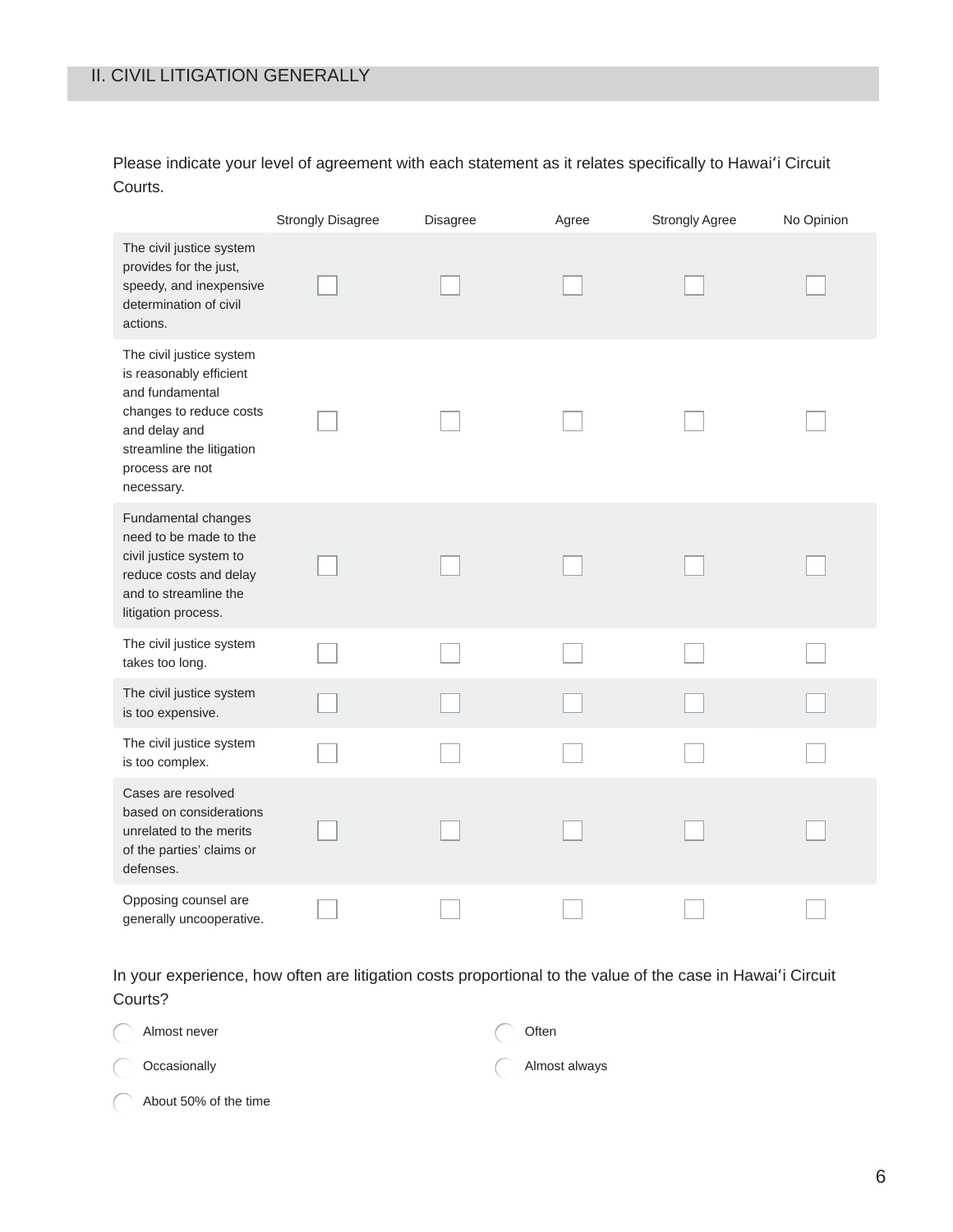Please indicate your level of agreement with each statement as it relates specifically to Hawai'i Circuit Courts.

|                                                                                                                                                                                  | <b>Strongly Disagree</b> | <b>Disagree</b> | Agree | <b>Strongly Agree</b> | No Opinion |
|----------------------------------------------------------------------------------------------------------------------------------------------------------------------------------|--------------------------|-----------------|-------|-----------------------|------------|
| The civil justice system<br>provides for the just,<br>speedy, and inexpensive<br>determination of civil<br>actions.                                                              |                          |                 |       |                       |            |
| The civil justice system<br>is reasonably efficient<br>and fundamental<br>changes to reduce costs<br>and delay and<br>streamline the litigation<br>process are not<br>necessary. |                          |                 |       |                       |            |
| Fundamental changes<br>need to be made to the<br>civil justice system to<br>reduce costs and delay<br>and to streamline the<br>litigation process.                               |                          |                 |       |                       |            |
| The civil justice system<br>takes too long.                                                                                                                                      |                          |                 |       |                       |            |
| The civil justice system<br>is too expensive.                                                                                                                                    |                          |                 |       |                       |            |
| The civil justice system<br>is too complex.                                                                                                                                      |                          |                 |       |                       |            |
| Cases are resolved<br>based on considerations<br>unrelated to the merits<br>of the parties' claims or<br>defenses.                                                               |                          |                 |       |                       |            |
| Opposing counsel are<br>generally uncooperative.                                                                                                                                 |                          |                 |       |                       |            |

In your experience, how often are litigation costs proportional to the value of the case in Hawai'i Circuit Courts?

| Almost never            | Often         |
|-------------------------|---------------|
| $\bigcirc$ Occasionally | Almost always |

| About 50% of the time |  |  |
|-----------------------|--|--|
|                       |  |  |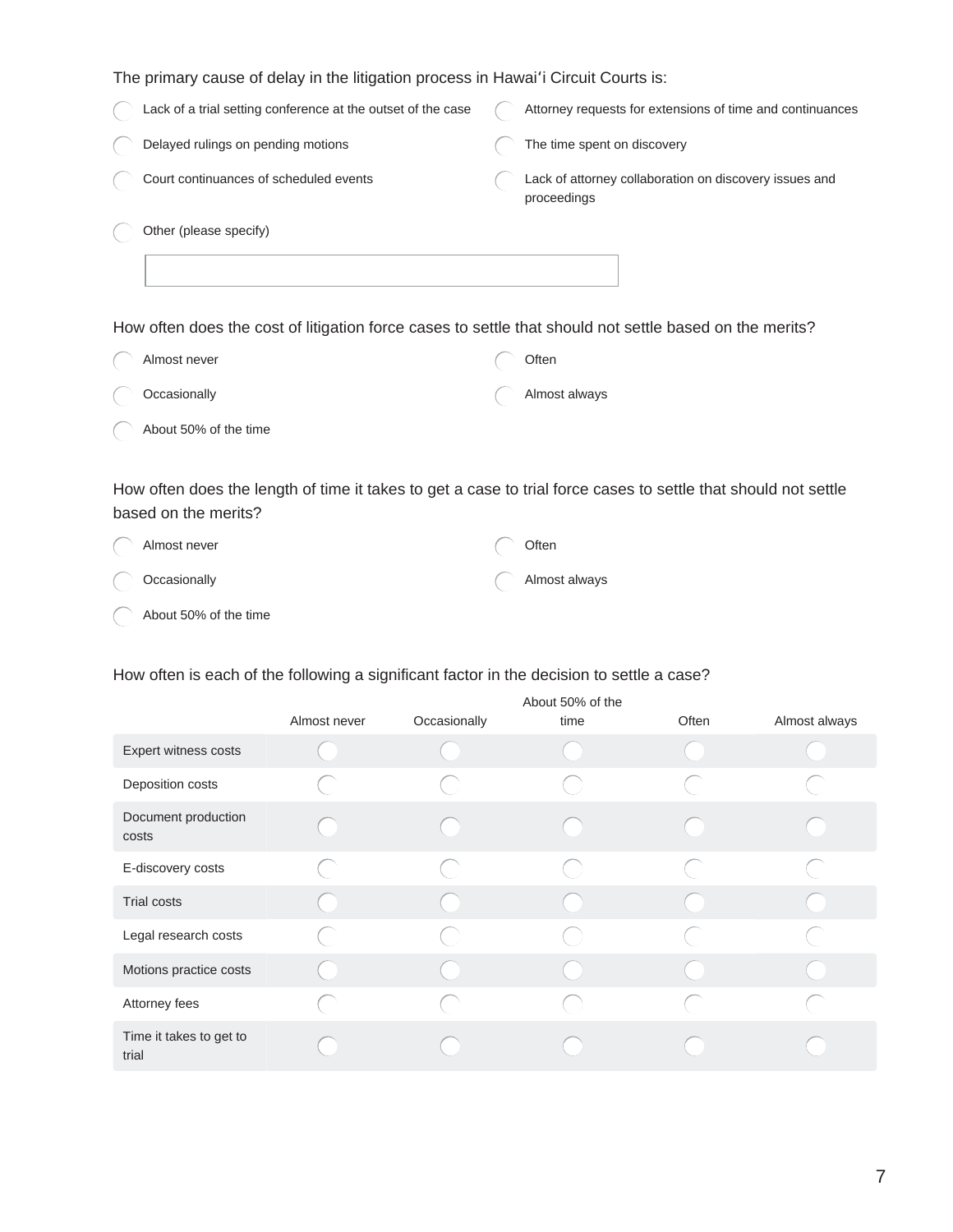The primary cause of delay in the litigation process in Hawai'i Circuit Courts is:

| Lack of a trial setting conference at the outset of the case | Attorney requests for extensions of time and continuances             |
|--------------------------------------------------------------|-----------------------------------------------------------------------|
| Delayed rulings on pending motions                           | The time spent on discovery                                           |
| Court continuances of scheduled events                       | Lack of attorney collaboration on discovery issues and<br>proceedings |
| Other (please specify)                                       |                                                                       |
|                                                              |                                                                       |
|                                                              |                                                                       |

How often does the cost of litigation force cases to settle that should not settle based on the merits?

| Almost never          | Often         |
|-----------------------|---------------|
| ( ) Occasionally      | Almost always |
| About 50% of the time |               |

How often does the length of time it takes to get a case to trial force cases to settle that should not settle based on the merits?

| Almost never            | Often         |
|-------------------------|---------------|
| $\bigcirc$ Occasionally | Almost always |
| About 50% of the time   |               |

#### How often is each of the following a significant factor in the decision to settle a case?

|                                  | About 50% of the |              |      |       |               |
|----------------------------------|------------------|--------------|------|-------|---------------|
|                                  | Almost never     | Occasionally | time | Often | Almost always |
| Expert witness costs             |                  |              |      |       |               |
| Deposition costs                 |                  |              |      |       |               |
| Document production<br>costs     |                  |              |      |       |               |
| E-discovery costs                |                  |              |      |       |               |
| <b>Trial costs</b>               |                  |              |      |       |               |
| Legal research costs             |                  |              |      |       |               |
| Motions practice costs           |                  |              |      |       |               |
| Attorney fees                    |                  |              |      |       |               |
| Time it takes to get to<br>trial |                  |              |      |       |               |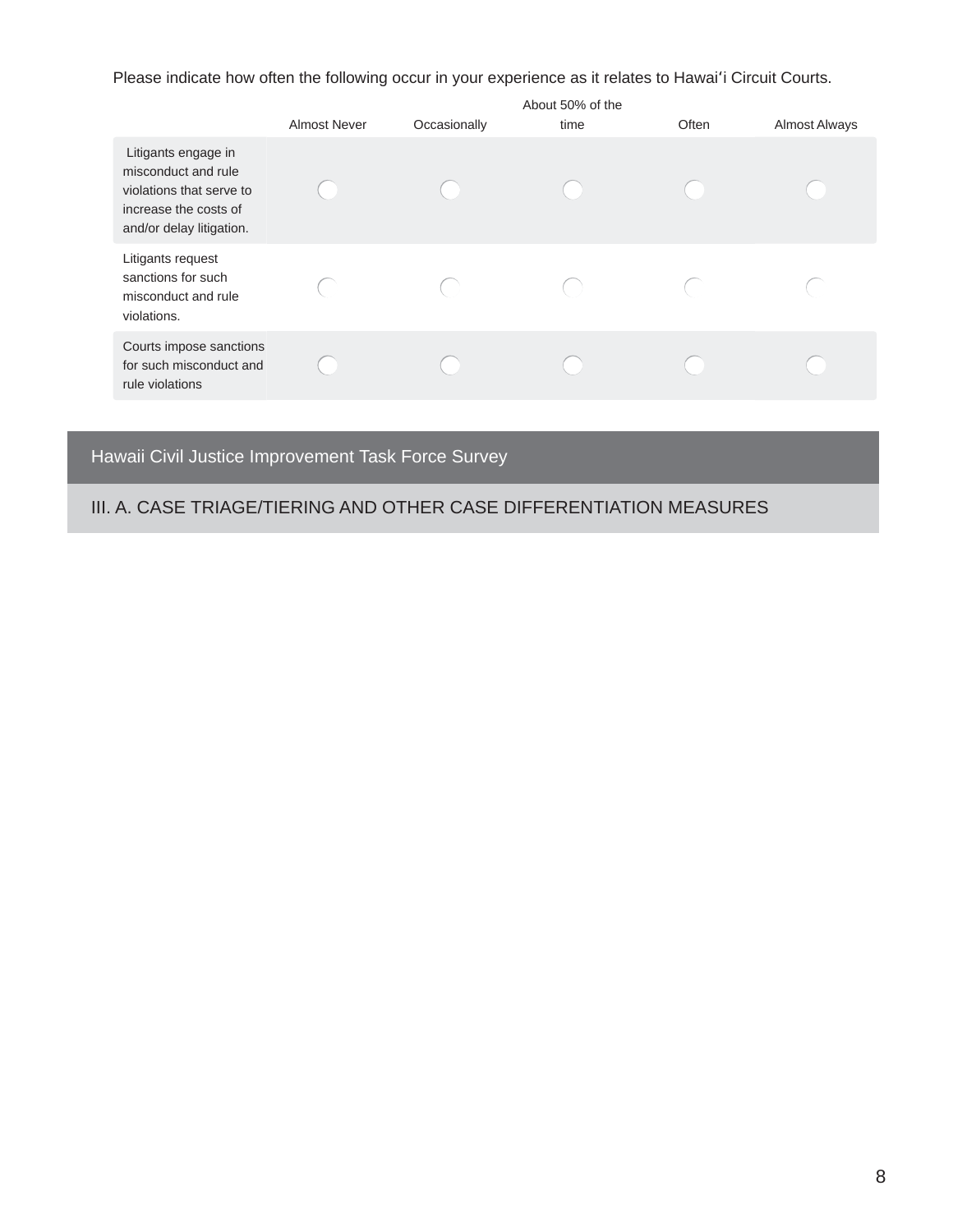Please indicate how often the following occur in your experience as it relates to Hawai'i Circuit Courts.

|                                                                                                                             | <b>Almost Never</b> | Occasionally | About 50% of the<br>time | Often | Almost Always |
|-----------------------------------------------------------------------------------------------------------------------------|---------------------|--------------|--------------------------|-------|---------------|
| Litigants engage in<br>misconduct and rule<br>violations that serve to<br>increase the costs of<br>and/or delay litigation. |                     |              |                          |       |               |
| Litigants request<br>sanctions for such<br>misconduct and rule<br>violations.                                               |                     |              |                          |       |               |
| Courts impose sanctions<br>for such misconduct and<br>rule violations                                                       |                     |              |                          |       |               |

# Hawaii Civil Justice Improvement Task Force Survey

# III. A. CASE TRIAGE/TIERING AND OTHER CASE DIFFERENTIATION MEASURES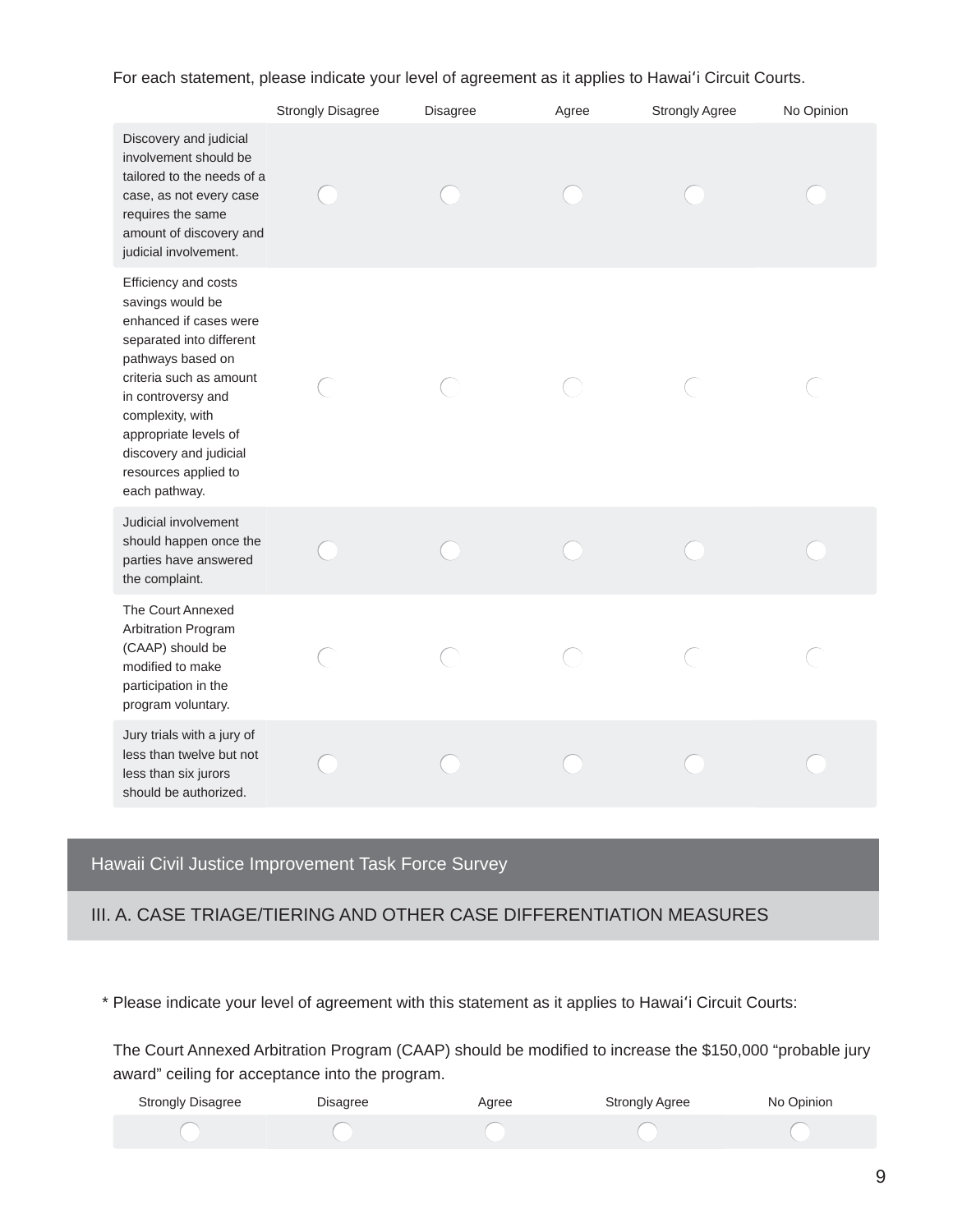For each statement, please indicate your level of agreement as it applies to Hawai'i Circuit Courts.

|                                                                                                                                                                                                                                                                                      | <b>Strongly Disagree</b> | Disagree | Agree | <b>Strongly Agree</b> | No Opinion |
|--------------------------------------------------------------------------------------------------------------------------------------------------------------------------------------------------------------------------------------------------------------------------------------|--------------------------|----------|-------|-----------------------|------------|
| Discovery and judicial<br>involvement should be<br>tailored to the needs of a<br>case, as not every case<br>requires the same<br>amount of discovery and<br>judicial involvement.                                                                                                    |                          |          |       |                       |            |
| Efficiency and costs<br>savings would be<br>enhanced if cases were<br>separated into different<br>pathways based on<br>criteria such as amount<br>in controversy and<br>complexity, with<br>appropriate levels of<br>discovery and judicial<br>resources applied to<br>each pathway. |                          |          |       |                       |            |
| Judicial involvement<br>should happen once the<br>parties have answered<br>the complaint.                                                                                                                                                                                            |                          |          |       |                       |            |
| The Court Annexed<br>Arbitration Program<br>(CAAP) should be<br>modified to make<br>participation in the<br>program voluntary.                                                                                                                                                       |                          |          |       |                       |            |
| Jury trials with a jury of<br>less than twelve but not<br>less than six jurors<br>should be authorized.                                                                                                                                                                              |                          |          |       |                       |            |

# Hawaii Civil Justice Improvement Task Force Survey

#### III. A. CASE TRIAGE/TIERING AND OTHER CASE DIFFERENTIATION MEASURES

\* Please indicate your level of agreement with this statement as it applies to Hawai'i Circuit Courts:

The Court Annexed Arbitration Program (CAAP) should be modified to increase the \$150,000 "probable jury award" ceiling for acceptance into the program.

| <b>Strongly Disagree</b> | <b>Disagree</b> | Aaree | Strongly Agree | No Opinion |
|--------------------------|-----------------|-------|----------------|------------|
|                          |                 |       |                |            |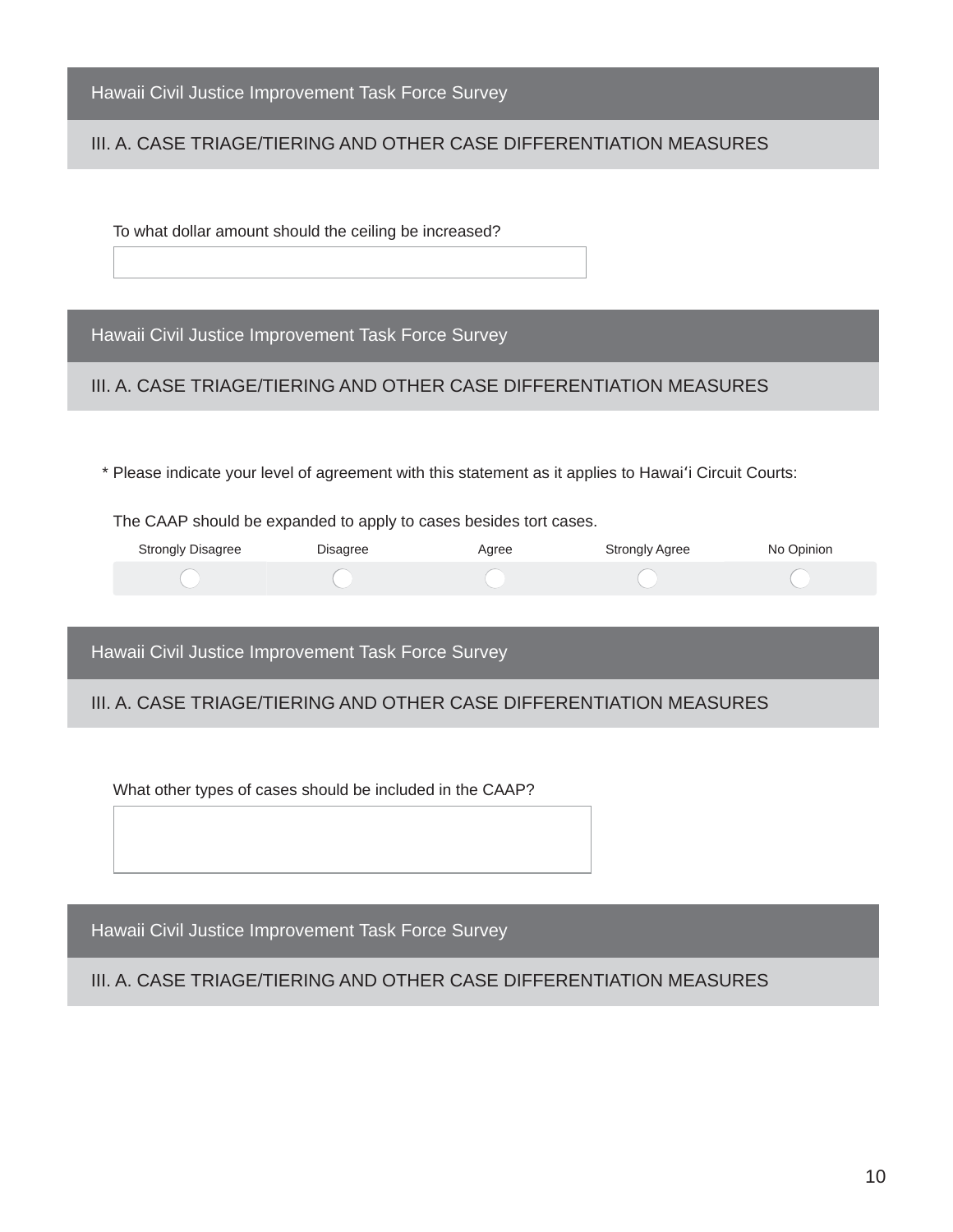| Hawaii Civil Justice Improvement Task Force Survey |  |  |  |
|----------------------------------------------------|--|--|--|
|----------------------------------------------------|--|--|--|

## III. A. CASE TRIAGE/TIERING AND OTHER CASE DIFFERENTIATION MEASURES

To what dollar amount should the ceiling be increased?

Hawaii Civil Justice Improvement Task Force Survey

III. A. CASE TRIAGE/TIERING AND OTHER CASE DIFFERENTIATION MEASURES

\* Please indicate your level of agreement with this statement as it applies to Hawai'i Circuit Courts:

The CAAP should be expanded to apply to cases besides tort cases.

| <b>Strongly Disagree</b> | Disagree | Agree | <b>Strongly Agree</b> | No Opinion |
|--------------------------|----------|-------|-----------------------|------------|
|                          |          |       |                       |            |

Hawaii Civil Justice Improvement Task Force Survey

#### III. A. CASE TRIAGE/TIERING AND OTHER CASE DIFFERENTIATION MEASURES

What other types of cases should be included in the CAAP?

Hawaii Civil Justice Improvement Task Force Survey

III. A. CASE TRIAGE/TIERING AND OTHER CASE DIFFERENTIATION MEASURES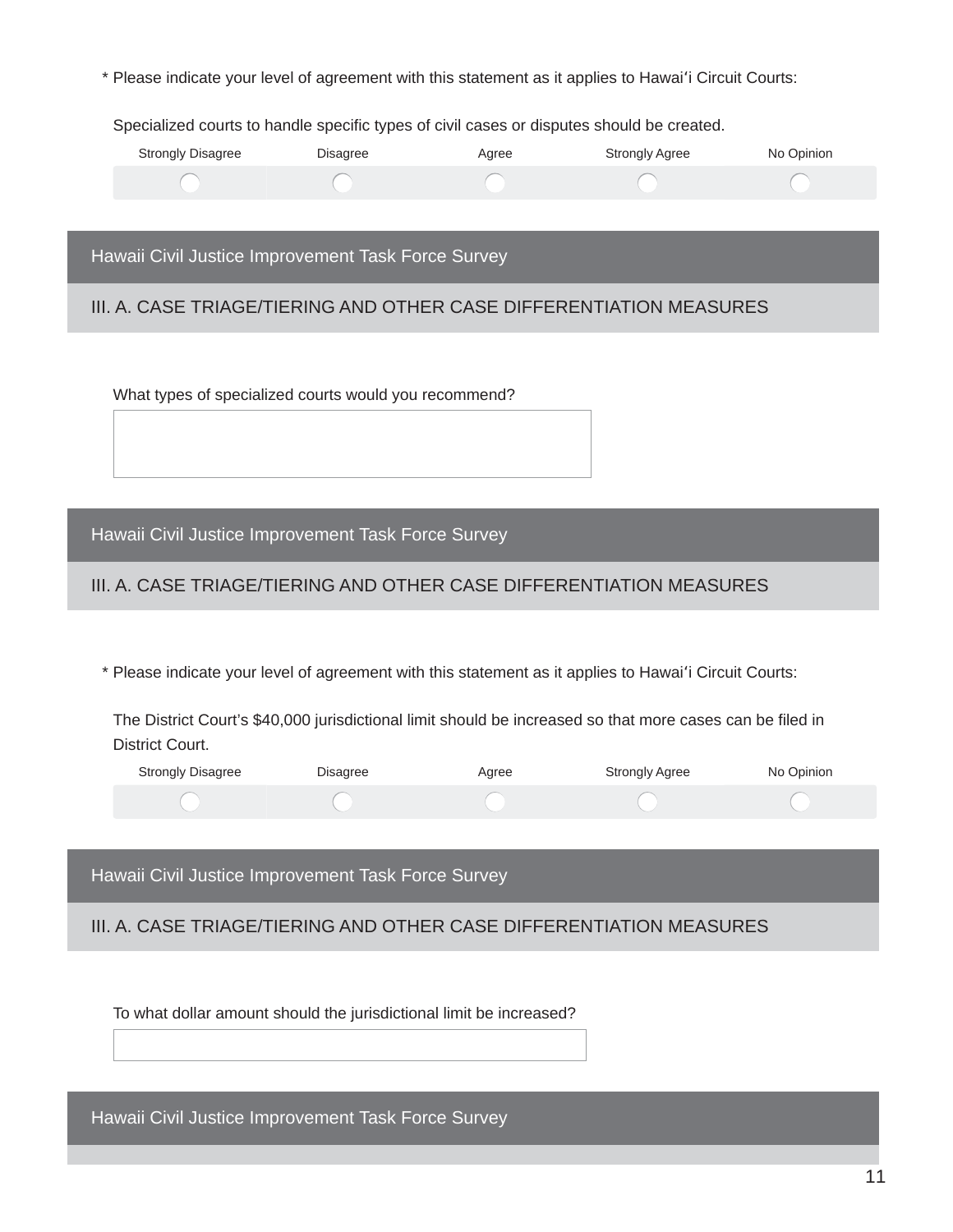\* Please indicate your level of agreement with this statement as it applies to Hawai'i Circuit Courts:

Specialized courts to handle specific types of civil cases or disputes should be created.

| <b>Strongly Disagree</b> | Disagree | Agree | <b>Strongly Agree</b> | No Opinion |
|--------------------------|----------|-------|-----------------------|------------|
|                          |          |       |                       |            |

Hawaii Civil Justice Improvement Task Force Survey

III. A. CASE TRIAGE/TIERING AND OTHER CASE DIFFERENTIATION MEASURES

What types of specialized courts would you recommend?

Hawaii Civil Justice Improvement Task Force Survey

# III. A. CASE TRIAGE/TIERING AND OTHER CASE DIFFERENTIATION MEASURES

\* Please indicate your level of agreement with this statement as it applies to Hawai'i Circuit Courts:

The District Court's \$40,000 jurisdictional limit should be increased so that more cases can be filed in District Court.

| <b>Strongly Disagree</b> | Disagree | Agree | <b>Strongly Agree</b> | No Opinion |
|--------------------------|----------|-------|-----------------------|------------|
|                          |          |       |                       |            |

Hawaii Civil Justice Improvement Task Force Survey

III. A. CASE TRIAGE/TIERING AND OTHER CASE DIFFERENTIATION MEASURES

To what dollar amount should the jurisdictional limit be increased?

Hawaii Civil Justice Improvement Task Force Survey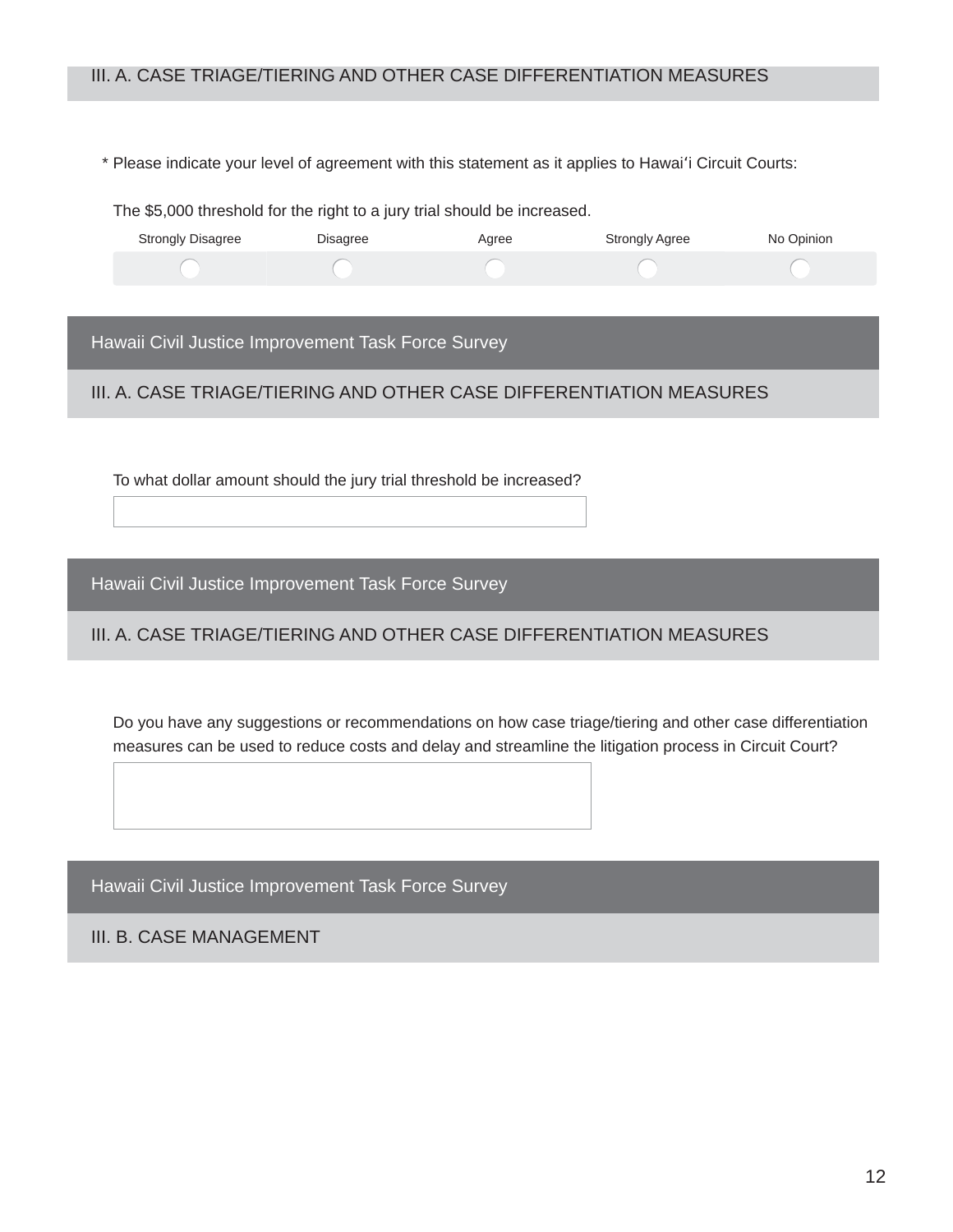# III. A. CASE TRIAGE/TIERING AND OTHER CASE DIFFERENTIATION MEASURES

\* Please indicate your level of agreement with this statement as it applies to Hawai'i Circuit Courts:

The \$5,000 threshold for the right to a jury trial should be increased.

| <b>Strongly Disagree</b> | Disagree | Agree | <b>Strongly Agree</b> | No Opinion |
|--------------------------|----------|-------|-----------------------|------------|
|                          |          |       |                       |            |

Hawaii Civil Justice Improvement Task Force Survey

III. A. CASE TRIAGE/TIERING AND OTHER CASE DIFFERENTIATION MEASURES

To what dollar amount should the jury trial threshold be increased?

Hawaii Civil Justice Improvement Task Force Survey

III. A. CASE TRIAGE/TIERING AND OTHER CASE DIFFERENTIATION MEASURES

Do you have any suggestions or recommendations on how case triage/tiering and other case differentiation measures can be used to reduce costs and delay and streamline the litigation process in Circuit Court?

Hawaii Civil Justice Improvement Task Force Survey

III. B. CASE MANAGEMENT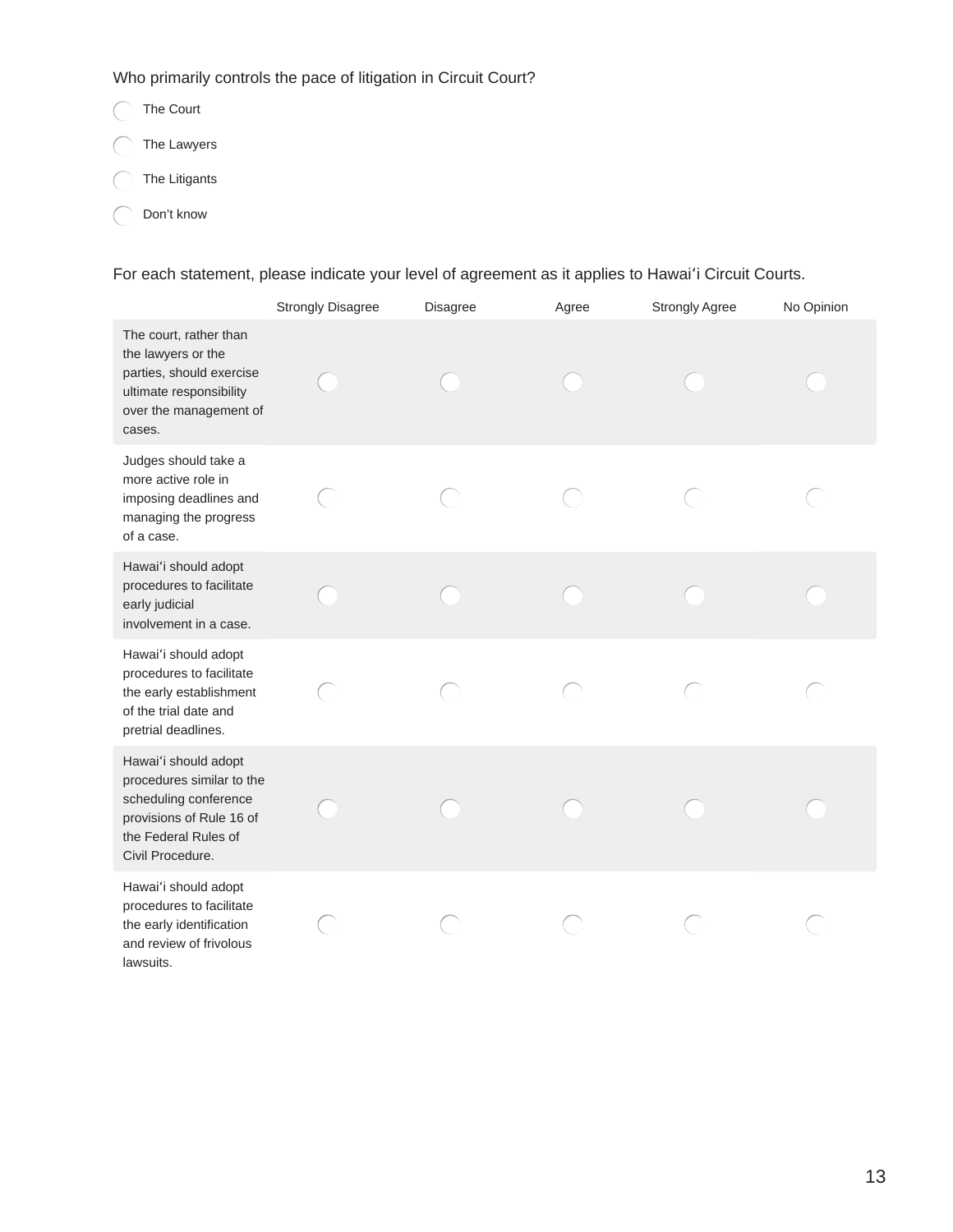Who primarily controls the pace of litigation in Circuit Court?

- The Court The Lawyers
- $\bigcap$  The Litigants
- ◯ Don't know

For each statement, please indicate your level of agreement as it applies to Hawai'i Circuit Courts.

|                                                                                                                                                    | <b>Strongly Disagree</b> | Disagree | Agree | <b>Strongly Agree</b> | No Opinion |
|----------------------------------------------------------------------------------------------------------------------------------------------------|--------------------------|----------|-------|-----------------------|------------|
| The court, rather than<br>the lawyers or the<br>parties, should exercise<br>ultimate responsibility<br>over the management of<br>cases.            |                          |          |       |                       |            |
| Judges should take a<br>more active role in<br>imposing deadlines and<br>managing the progress<br>of a case.                                       |                          |          |       |                       |            |
| Hawai'i should adopt<br>procedures to facilitate<br>early judicial<br>involvement in a case.                                                       |                          |          |       |                       |            |
| Hawai'i should adopt<br>procedures to facilitate<br>the early establishment<br>of the trial date and<br>pretrial deadlines.                        |                          |          |       |                       |            |
| Hawai'i should adopt<br>procedures similar to the<br>scheduling conference<br>provisions of Rule 16 of<br>the Federal Rules of<br>Civil Procedure. |                          |          |       |                       |            |
| Hawai'i should adopt<br>procedures to facilitate<br>the early identification<br>and review of frivolous<br>lawsuits.                               |                          |          |       |                       |            |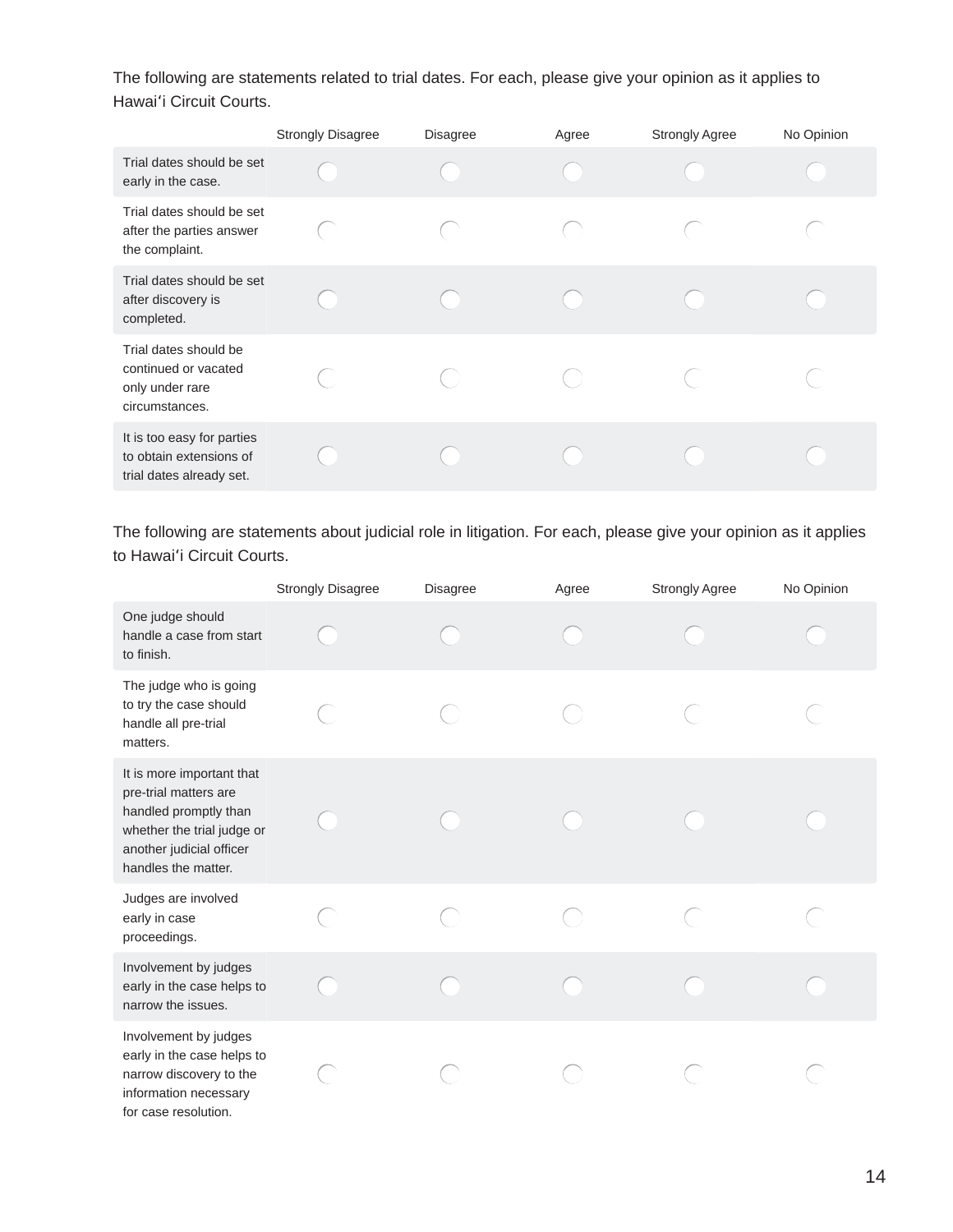The following are statements related to trial dates. For each, please give your opinion as it applies to Hawai'i Circuit Courts.

|                                                                                    | <b>Strongly Disagree</b> | <b>Disagree</b> | Agree | <b>Strongly Agree</b> | No Opinion |
|------------------------------------------------------------------------------------|--------------------------|-----------------|-------|-----------------------|------------|
| Trial dates should be set<br>early in the case.                                    |                          |                 |       |                       |            |
| Trial dates should be set<br>after the parties answer<br>the complaint.            |                          |                 |       |                       |            |
| Trial dates should be set<br>after discovery is<br>completed.                      |                          |                 |       |                       |            |
| Trial dates should be<br>continued or vacated<br>only under rare<br>circumstances. |                          |                 |       |                       |            |
| It is too easy for parties<br>to obtain extensions of<br>trial dates already set.  |                          |                 |       |                       |            |

The following are statements about judicial role in litigation. For each, please give your opinion as it applies to Hawai'i Circuit Courts.

|                                                                                                                                                              | <b>Strongly Disagree</b> | <b>Disagree</b> | Agree | Strongly Agree | No Opinion |
|--------------------------------------------------------------------------------------------------------------------------------------------------------------|--------------------------|-----------------|-------|----------------|------------|
| One judge should<br>handle a case from start<br>to finish.                                                                                                   |                          |                 |       |                |            |
| The judge who is going<br>to try the case should<br>handle all pre-trial<br>matters.                                                                         |                          |                 |       |                |            |
| It is more important that<br>pre-trial matters are<br>handled promptly than<br>whether the trial judge or<br>another judicial officer<br>handles the matter. |                          |                 |       |                |            |
| Judges are involved<br>early in case<br>proceedings.                                                                                                         |                          |                 |       |                |            |
| Involvement by judges<br>early in the case helps to<br>narrow the issues.                                                                                    |                          |                 |       |                |            |
| Involvement by judges<br>early in the case helps to<br>narrow discovery to the<br>information necessary<br>for case resolution.                              |                          |                 |       |                |            |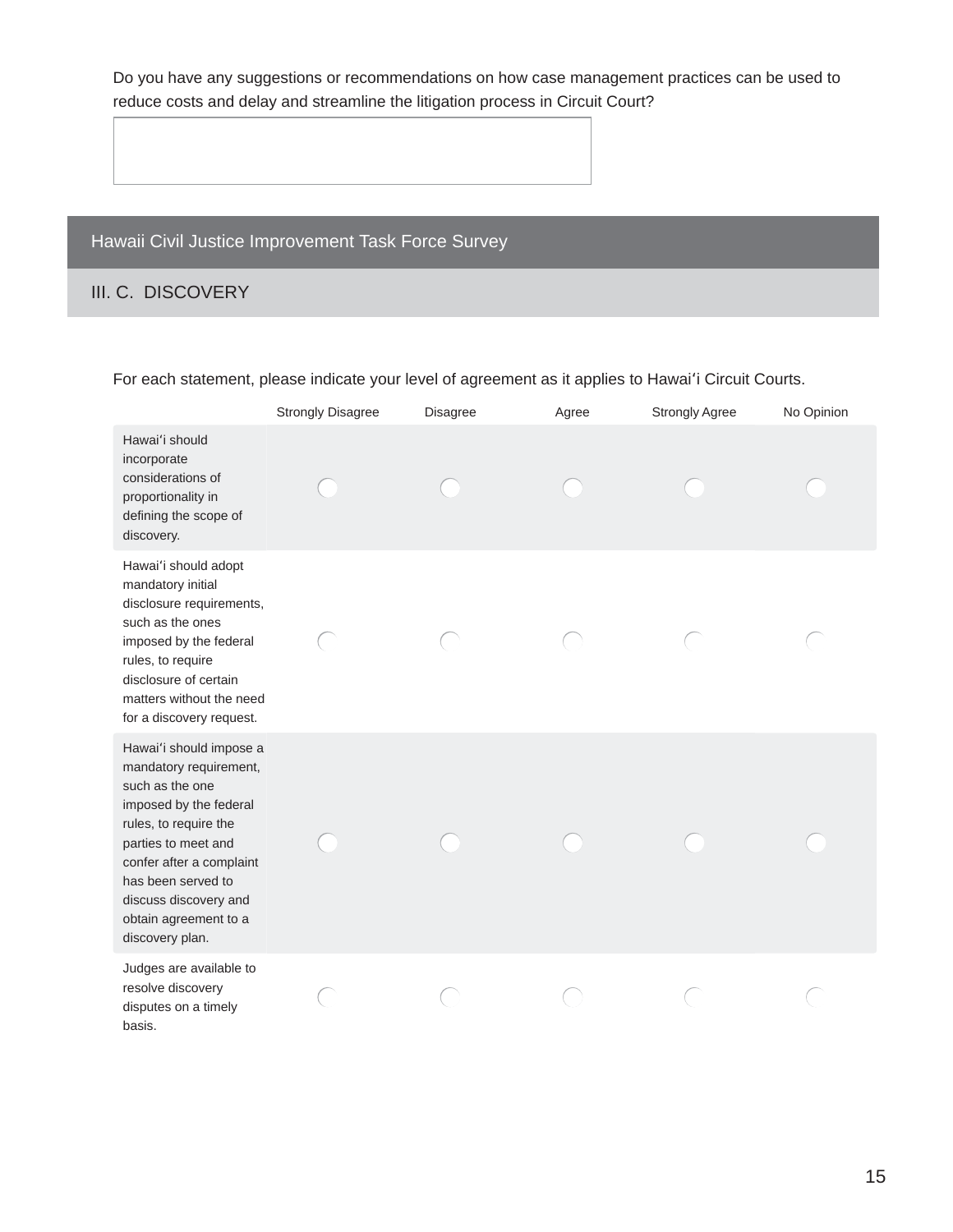Do you have any suggestions or recommendations on how case management practices can be used to reduce costs and delay and streamline the litigation process in Circuit Court?

# Hawaii Civil Justice Improvement Task Force Survey

# III. C. DISCOVERY

|                                                                                                                                                                                                                                                                       | <b>Strongly Disagree</b> | Disagree | Agree | <b>Strongly Agree</b> | No Opinion |
|-----------------------------------------------------------------------------------------------------------------------------------------------------------------------------------------------------------------------------------------------------------------------|--------------------------|----------|-------|-----------------------|------------|
| Hawai'i should<br>incorporate<br>considerations of<br>proportionality in<br>defining the scope of<br>discovery.                                                                                                                                                       |                          |          |       |                       |            |
| Hawai'i should adopt<br>mandatory initial<br>disclosure requirements,<br>such as the ones<br>imposed by the federal<br>rules, to require<br>disclosure of certain<br>matters without the need<br>for a discovery request.                                             |                          |          |       |                       |            |
| Hawai'i should impose a<br>mandatory requirement,<br>such as the one<br>imposed by the federal<br>rules, to require the<br>parties to meet and<br>confer after a complaint<br>has been served to<br>discuss discovery and<br>obtain agreement to a<br>discovery plan. |                          |          |       |                       |            |
| Judges are available to<br>resolve discovery<br>disputes on a timely<br>basis.                                                                                                                                                                                        |                          |          |       |                       |            |

# For each statement, please indicate your level of agreement as it applies to Hawai'i Circuit Courts.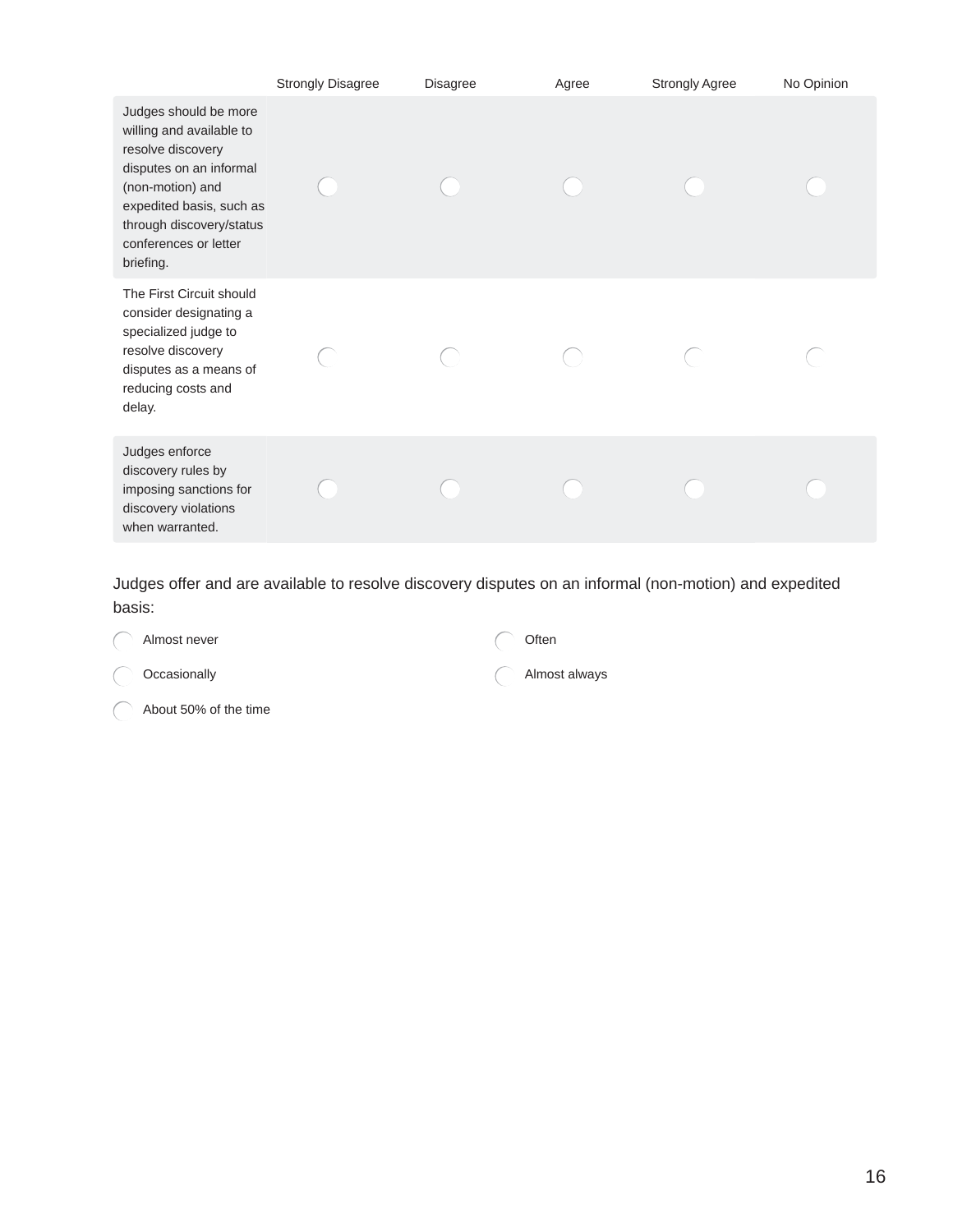|                                                                                                                                                                                                                     | <b>Strongly Disagree</b> | <b>Disagree</b> | Agree | <b>Strongly Agree</b> | No Opinion |
|---------------------------------------------------------------------------------------------------------------------------------------------------------------------------------------------------------------------|--------------------------|-----------------|-------|-----------------------|------------|
| Judges should be more<br>willing and available to<br>resolve discovery<br>disputes on an informal<br>(non-motion) and<br>expedited basis, such as<br>through discovery/status<br>conferences or letter<br>briefing. |                          |                 |       |                       |            |
| The First Circuit should<br>consider designating a<br>specialized judge to<br>resolve discovery<br>disputes as a means of<br>reducing costs and<br>delay.                                                           |                          |                 |       |                       |            |
| Judges enforce<br>discovery rules by<br>imposing sanctions for<br>discovery violations<br>when warranted.                                                                                                           |                          |                 |       |                       |            |

Judges offer and are available to resolve discovery disputes on an informal (non-motion) and expedited basis:

| ( ) Almost never      | Often         |
|-----------------------|---------------|
| Occasionally          | Almost always |
| About 50% of the time |               |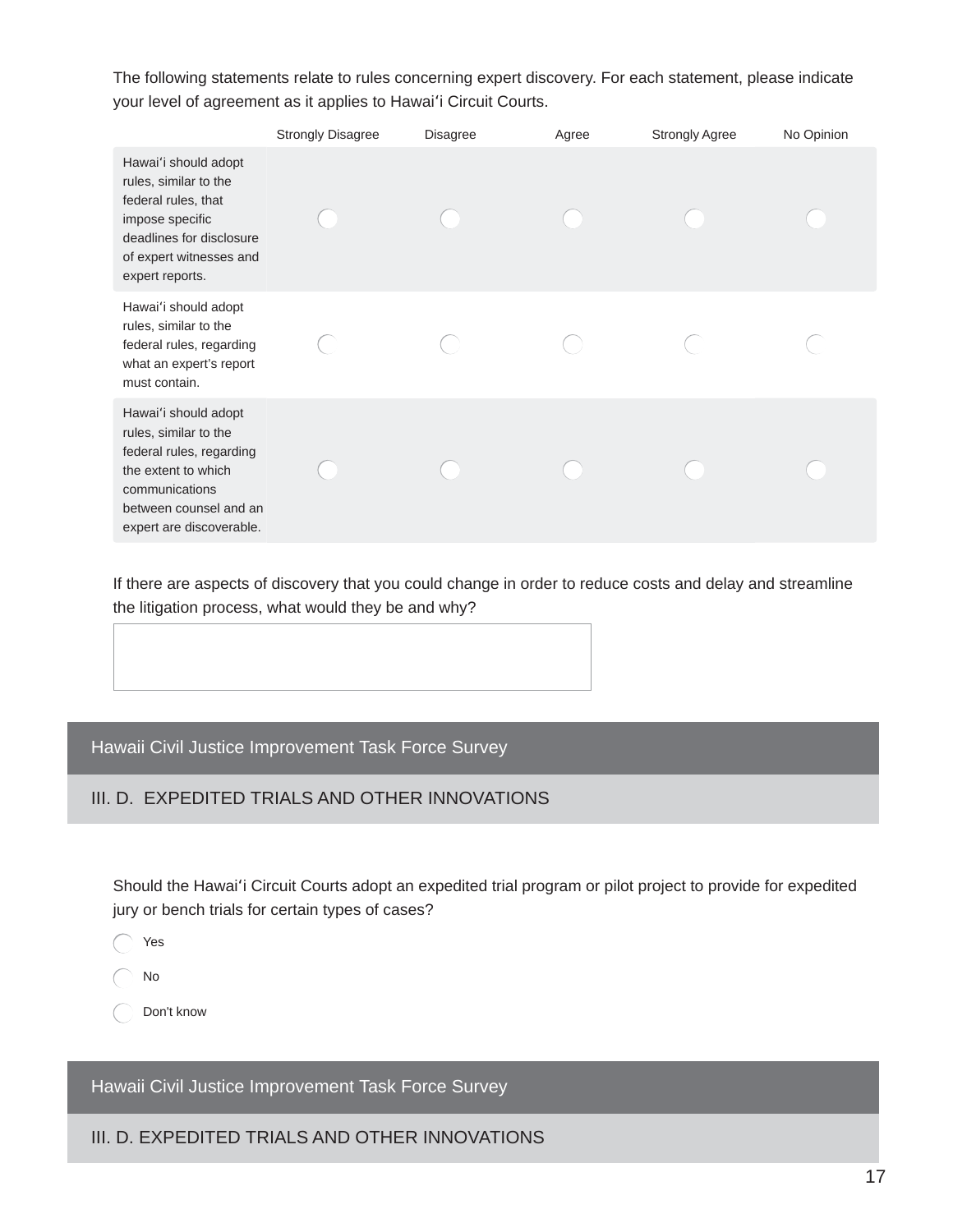The following statements relate to rules concerning expert discovery. For each statement, please indicate your level of agreement as it applies to Hawai'i Circuit Courts.

|                                                                                                                                                                          | <b>Strongly Disagree</b> | <b>Disagree</b> | Agree | <b>Strongly Agree</b> | No Opinion |
|--------------------------------------------------------------------------------------------------------------------------------------------------------------------------|--------------------------|-----------------|-------|-----------------------|------------|
| Hawai'i should adopt<br>rules, similar to the<br>federal rules, that<br>impose specific<br>deadlines for disclosure<br>of expert witnesses and<br>expert reports.        |                          |                 |       |                       |            |
| Hawai'i should adopt<br>rules, similar to the<br>federal rules, regarding<br>what an expert's report<br>must contain.                                                    |                          |                 |       |                       |            |
| Hawai'i should adopt<br>rules, similar to the<br>federal rules, regarding<br>the extent to which<br>communications<br>between counsel and an<br>expert are discoverable. |                          |                 |       |                       |            |

If there are aspects of discovery that you could change in order to reduce costs and delay and streamline the litigation process, what would they be and why?

Hawaii Civil Justice Improvement Task Force Survey

# III. D. EXPEDITED TRIALS AND OTHER INNOVATIONS

Should the Hawai'i Circuit Courts adopt an expedited trial program or pilot project to provide for expedited jury or bench trials for certain types of cases?

 $\bigcap$  Yes

 $\bigcap$  No

◯ Don't know

Hawaii Civil Justice Improvement Task Force Survey

III. D. EXPEDITED TRIALS AND OTHER INNOVATIONS